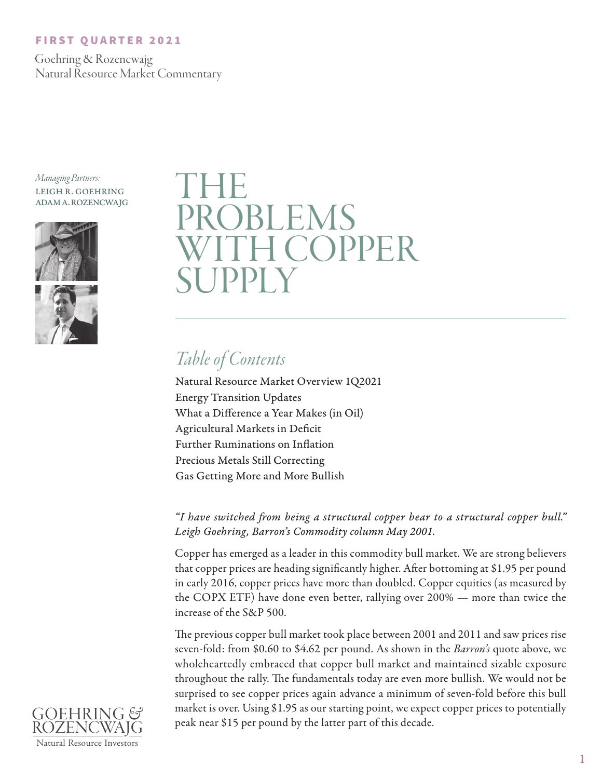### FIRST QUARTER 2021

 Goehring & Rozencwajg Natural Resource Market Commentary

*Managing Partners:* LEIGH R. GOEHRING ADAM A. ROZENCWAJG





# THE **DBLEMS I COPPER** UPPLY

# *Table of Contents*

Natural Resource Market Overview 1Q2021 Energy Transition Updates What a Difference a Year Makes (in Oil) Agricultural Markets in Deficit Further Ruminations on Inflation Precious Metals Still Correcting Gas Getting More and More Bullish

*"I have switched from being a structural copper bear to a structural copper bull." Leigh Goehring, Barron's Commodity column May 2001.* 

Copper has emerged as a leader in this commodity bull market. We are strong believers that copper prices are heading significantly higher. After bottoming at \$1.95 per pound in early 2016, copper prices have more than doubled. Copper equities (as measured by the COPX ETF) have done even better, rallying over 200% — more than twice the increase of the S&P 500.

The previous copper bull market took place between 2001 and 2011 and saw prices rise seven-fold: from \$0.60 to \$4.62 per pound. As shown in the *Barron's* quote above, we wholeheartedly embraced that copper bull market and maintained sizable exposure throughout the rally. The fundamentals today are even more bullish. We would not be surprised to see copper prices again advance a minimum of seven-fold before this bull market is over. Using \$1.95 as our starting point, we expect copper prices to potentially peak near \$15 per pound by the latter part of this decade.

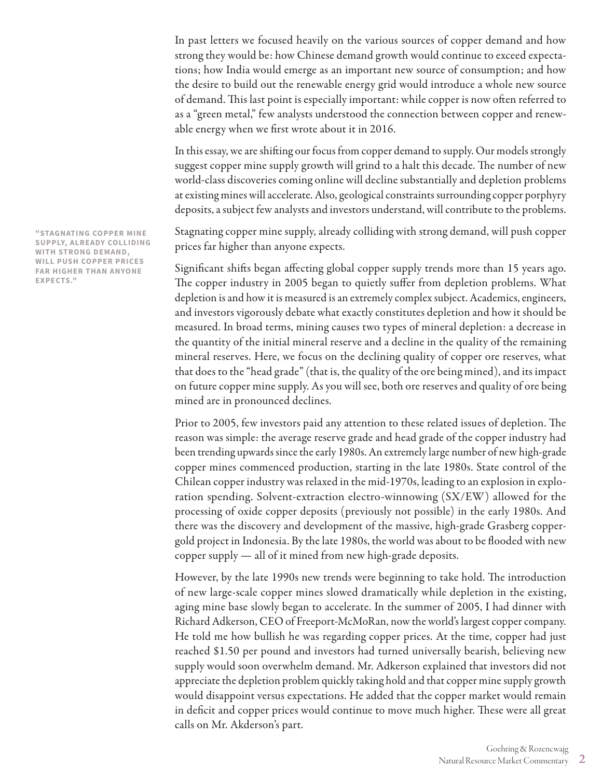In past letters we focused heavily on the various sources of copper demand and how strong they would be: how Chinese demand growth would continue to exceed expectations; how India would emerge as an important new source of consumption; and how the desire to build out the renewable energy grid would introduce a whole new source of demand. This last point is especially important: while copper is now often referred to as a "green metal," few analysts understood the connection between copper and renewable energy when we first wrote about it in 2016.

In this essay, we are shifting our focus from copper demand to supply. Our models strongly suggest copper mine supply growth will grind to a halt this decade. The number of new world-class discoveries coming online will decline substantially and depletion problems at existing mines will accelerate. Also, geological constraints surrounding copper porphyry deposits, a subject few analysts and investors understand, will contribute to the problems.

Stagnating copper mine supply, already colliding with strong demand, will push copper prices far higher than anyone expects.

Significant shifts began affecting global copper supply trends more than 15 years ago. The copper industry in 2005 began to quietly suffer from depletion problems. What depletion is and how it is measured is an extremely complex subject. Academics, engineers, and investors vigorously debate what exactly constitutes depletion and how it should be measured. In broad terms, mining causes two types of mineral depletion: a decrease in the quantity of the initial mineral reserve and a decline in the quality of the remaining mineral reserves. Here, we focus on the declining quality of copper ore reserves, what that does to the "head grade" (that is, the quality of the ore being mined), and its impact on future copper mine supply. As you will see, both ore reserves and quality of ore being mined are in pronounced declines.

Prior to 2005, few investors paid any attention to these related issues of depletion. The reason was simple: the average reserve grade and head grade of the copper industry had been trending upwards since the early 1980s. An extremely large number of new high-grade copper mines commenced production, starting in the late 1980s. State control of the Chilean copper industry was relaxed in the mid-1970s, leading to an explosion in exploration spending. Solvent-extraction electro-winnowing (SX/EW) allowed for the processing of oxide copper deposits (previously not possible) in the early 1980s. And there was the discovery and development of the massive, high-grade Grasberg coppergold project in Indonesia. By the late 1980s, the world was about to be flooded with new copper supply — all of it mined from new high-grade deposits.

However, by the late 1990s new trends were beginning to take hold. The introduction of new large-scale copper mines slowed dramatically while depletion in the existing, aging mine base slowly began to accelerate. In the summer of 2005, I had dinner with Richard Adkerson, CEO of Freeport-McMoRan, now the world's largest copper company. He told me how bullish he was regarding copper prices. At the time, copper had just reached \$1.50 per pound and investors had turned universally bearish, believing new supply would soon overwhelm demand. Mr. Adkerson explained that investors did not appreciate the depletion problem quickly taking hold and that copper mine supply growth would disappoint versus expectations. He added that the copper market would remain in deficit and copper prices would continue to move much higher. These were all great calls on Mr. Akderson's part.

**"STAGNATING COPPER MINE SUPPLY, ALREADY COLLIDING WITH STRONG DEMAND, WILL PUSH COPPER PRICES FAR HIGHER THAN ANYONE EXPECTS."**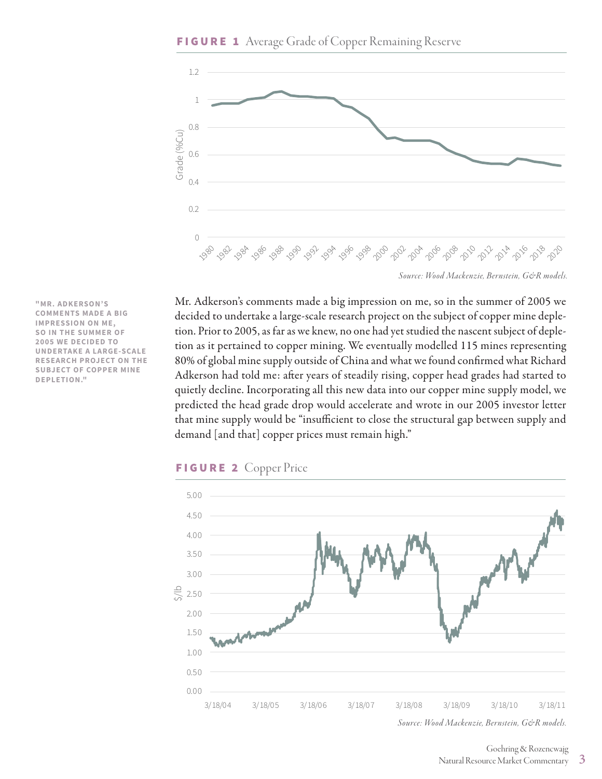**"MR. ADKERSON'S COMMENTS MADE A BIG IMPRESSION ON ME, SO IN THE SUMMER OF 2005 WE DECIDED TO UNDERTAKE A LARGE-SCALE RESEARCH PROJECT ON THE SUBJECT OF COPPER MINE** 

**DEPLETION."**



*Source: Wood Mackenzie, Bernstein, G&R models.*

Mr. Adkerson's comments made a big impression on me, so in the summer of 2005 we decided to undertake a large-scale research project on the subject of copper mine depletion. Prior to 2005, as far as we knew, no one had yet studied the nascent subject of depletion as it pertained to copper mining. We eventually modelled 115 mines representing 80% of global mine supply outside of China and what we found confirmed what Richard Adkerson had told me: after years of steadily rising, copper head grades had started to quietly decline. Incorporating all this new data into our copper mine supply model, we predicted the head grade drop would accelerate and wrote in our 2005 investor letter that mine supply would be "insufficient to close the structural gap between supply and demand [and that] copper prices must remain high."



*Source: Wood Mackenzie, Bernstein, G&R models.*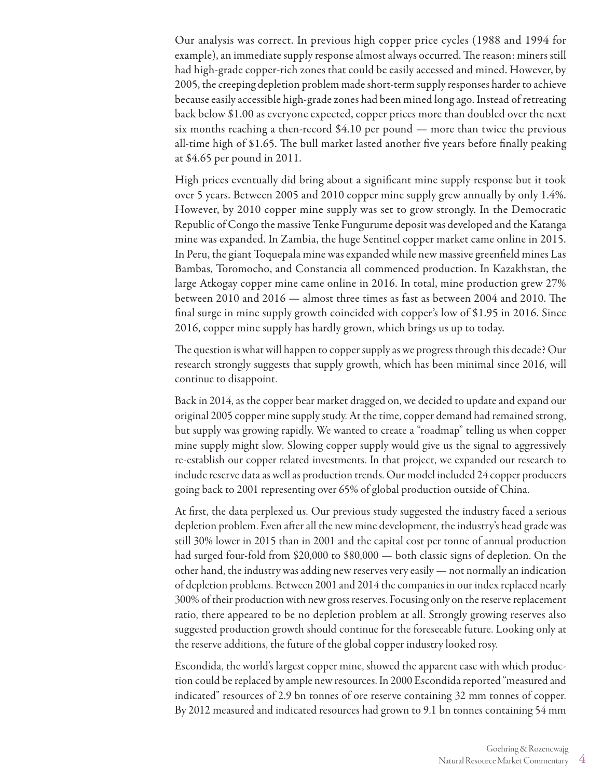Our analysis was correct. In previous high copper price cycles (1988 and 1994 for example), an immediate supply response almost always occurred. The reason: miners still had high-grade copper-rich zones that could be easily accessed and mined. However, by 2005, the creeping depletion problem made short-term supply responses harder to achieve because easily accessible high-grade zones had been mined long ago. Instead of retreating back below \$1.00 as everyone expected, copper prices more than doubled over the next six months reaching a then-record \$4.10 per pound — more than twice the previous all-time high of \$1.65. The bull market lasted another five years before finally peaking at \$4.65 per pound in 2011.

High prices eventually did bring about a significant mine supply response but it took over 5 years. Between 2005 and 2010 copper mine supply grew annually by only 1.4%. However, by 2010 copper mine supply was set to grow strongly. In the Democratic Republic of Congo the massive Tenke Fungurume deposit was developed and the Katanga mine was expanded. In Zambia, the huge Sentinel copper market came online in 2015. In Peru, the giant Toquepala mine was expanded while new massive greenfield mines Las Bambas, Toromocho, and Constancia all commenced production. In Kazakhstan, the large Atkogay copper mine came online in 2016. In total, mine production grew 27% between 2010 and 2016 — almost three times as fast as between 2004 and 2010. The final surge in mine supply growth coincided with copper's low of \$1.95 in 2016. Since 2016, copper mine supply has hardly grown, which brings us up to today.

The question is what will happen to copper supply as we progress through this decade? Our research strongly suggests that supply growth, which has been minimal since 2016, will continue to disappoint.

Back in 2014, as the copper bear market dragged on, we decided to update and expand our original 2005 copper mine supply study. At the time, copper demand had remained strong, but supply was growing rapidly. We wanted to create a "roadmap" telling us when copper mine supply might slow. Slowing copper supply would give us the signal to aggressively re-establish our copper related investments. In that project, we expanded our research to include reserve data as well as production trends. Our model included 24 copper producers going back to 2001 representing over 65% of global production outside of China.

At first, the data perplexed us. Our previous study suggested the industry faced a serious depletion problem. Even after all the new mine development, the industry's head grade was still 30% lower in 2015 than in 2001 and the capital cost per tonne of annual production had surged four-fold from \$20,000 to \$80,000 — both classic signs of depletion. On the other hand, the industry was adding new reserves very easily — not normally an indication of depletion problems. Between 2001 and 2014 the companies in our index replaced nearly 300% of their production with new gross reserves. Focusing only on the reserve replacement ratio, there appeared to be no depletion problem at all. Strongly growing reserves also suggested production growth should continue for the foreseeable future. Looking only at the reserve additions, the future of the global copper industry looked rosy.

Escondida, the world's largest copper mine, showed the apparent ease with which production could be replaced by ample new resources. In 2000 Escondida reported "measured and indicated" resources of 2.9 bn tonnes of ore reserve containing 32 mm tonnes of copper. By 2012 measured and indicated resources had grown to 9.1 bn tonnes containing 54 mm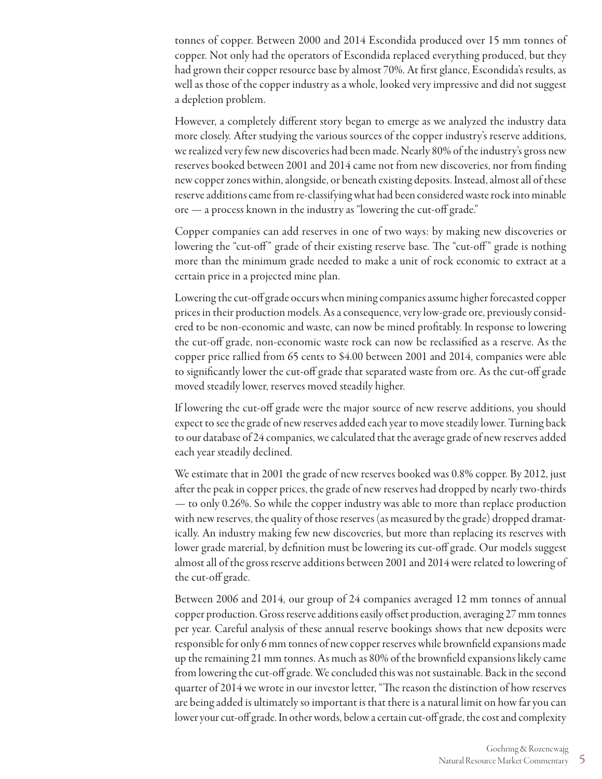tonnes of copper. Between 2000 and 2014 Escondida produced over 15 mm tonnes of copper. Not only had the operators of Escondida replaced everything produced, but they had grown their copper resource base by almost 70%. At first glance, Escondida's results, as well as those of the copper industry as a whole, looked very impressive and did not suggest a depletion problem.

However, a completely different story began to emerge as we analyzed the industry data more closely. After studying the various sources of the copper industry's reserve additions, we realized very few new discoveries had been made. Nearly 80% of the industry's gross new reserves booked between 2001 and 2014 came not from new discoveries, nor from finding new copper zones within, alongside, or beneath existing deposits. Instead, almost all of these reserve additions came from re-classifying what had been considered waste rock into minable ore — a process known in the industry as "lowering the cut-off grade."

Copper companies can add reserves in one of two ways: by making new discoveries or lowering the "cut-off" grade of their existing reserve base. The "cut-off" grade is nothing more than the minimum grade needed to make a unit of rock economic to extract at a certain price in a projected mine plan.

Lowering the cut-off grade occurs when mining companies assume higher forecasted copper prices in their production models. As a consequence, very low-grade ore, previously considered to be non-economic and waste, can now be mined profitably. In response to lowering the cut-off grade, non-economic waste rock can now be reclassified as a reserve. As the copper price rallied from 65 cents to \$4.00 between 2001 and 2014, companies were able to significantly lower the cut-off grade that separated waste from ore. As the cut-off grade moved steadily lower, reserves moved steadily higher.

If lowering the cut-off grade were the major source of new reserve additions, you should expect to see the grade of new reserves added each year to move steadily lower. Turning back to our database of 24 companies, we calculated that the average grade of new reserves added each year steadily declined.

We estimate that in 2001 the grade of new reserves booked was 0.8% copper. By 2012, just after the peak in copper prices, the grade of new reserves had dropped by nearly two-thirds — to only 0.26%. So while the copper industry was able to more than replace production with new reserves, the quality of those reserves (as measured by the grade) dropped dramatically. An industry making few new discoveries, but more than replacing its reserves with lower grade material, by definition must be lowering its cut-off grade. Our models suggest almost all of the gross reserve additions between 2001 and 2014 were related to lowering of the cut-off grade.

Between 2006 and 2014, our group of 24 companies averaged 12 mm tonnes of annual copper production. Gross reserve additions easily offset production, averaging 27 mm tonnes per year. Careful analysis of these annual reserve bookings shows that new deposits were responsible for only 6 mm tonnes of new copper reserves while brownfield expansions made up the remaining 21 mm tonnes. As much as 80% of the brownfield expansions likely came from lowering the cut-off grade. We concluded this was not sustainable. Back in the second quarter of 2014 we wrote in our investor letter, "The reason the distinction of how reserves are being added is ultimately so important is that there is a natural limit on how far you can lower your cut-off grade. In other words, below a certain cut-off grade, the cost and complexity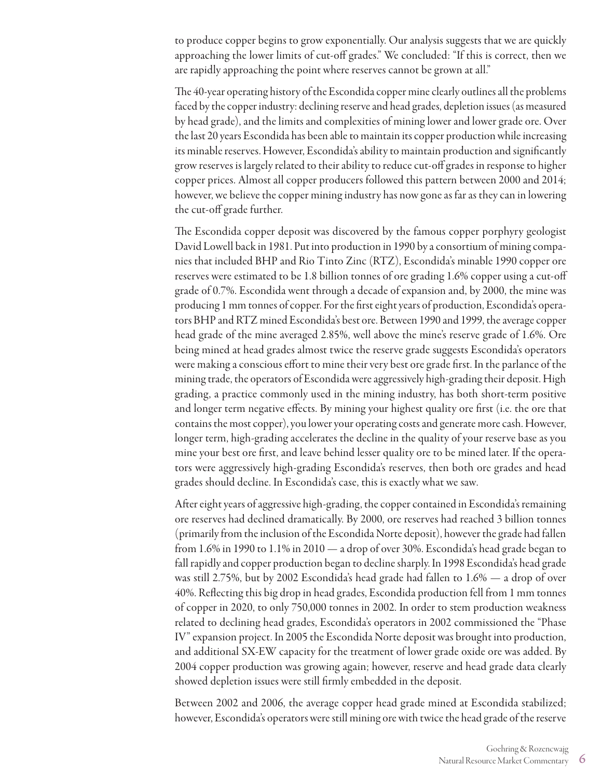to produce copper begins to grow exponentially. Our analysis suggests that we are quickly approaching the lower limits of cut-off grades." We concluded: "If this is correct, then we are rapidly approaching the point where reserves cannot be grown at all."

The 40-year operating history of the Escondida copper mine clearly outlines all the problems faced by the copper industry: declining reserve and head grades, depletion issues (as measured by head grade), and the limits and complexities of mining lower and lower grade ore. Over the last 20 years Escondida has been able to maintain its copper production while increasing its minable reserves. However, Escondida's ability to maintain production and significantly grow reserves is largely related to their ability to reduce cut-off grades in response to higher copper prices. Almost all copper producers followed this pattern between 2000 and 2014; however, we believe the copper mining industry has now gone as far as they can in lowering the cut-off grade further.

The Escondida copper deposit was discovered by the famous copper porphyry geologist David Lowell back in 1981. Put into production in 1990 by a consortium of mining companies that included BHP and Rio Tinto Zinc (RTZ), Escondida's minable 1990 copper ore reserves were estimated to be 1.8 billion tonnes of ore grading 1.6% copper using a cut-off grade of 0.7%. Escondida went through a decade of expansion and, by 2000, the mine was producing 1 mm tonnes of copper. For the first eight years of production, Escondida's operators BHP and RTZ mined Escondida's best ore. Between 1990 and 1999, the average copper head grade of the mine averaged 2.85%, well above the mine's reserve grade of 1.6%. Ore being mined at head grades almost twice the reserve grade suggests Escondida's operators were making a conscious effort to mine their very best ore grade first. In the parlance of the mining trade, the operators of Escondida were aggressively high-grading their deposit. High grading, a practice commonly used in the mining industry, has both short-term positive and longer term negative effects. By mining your highest quality ore first (i.e. the ore that contains the most copper), you lower your operating costs and generate more cash. However, longer term, high-grading accelerates the decline in the quality of your reserve base as you mine your best ore first, and leave behind lesser quality ore to be mined later. If the operators were aggressively high-grading Escondida's reserves, then both ore grades and head grades should decline. In Escondida's case, this is exactly what we saw.

After eight years of aggressive high-grading, the copper contained in Escondida's remaining ore reserves had declined dramatically. By 2000, ore reserves had reached 3 billion tonnes (primarily from the inclusion of the Escondida Norte deposit), however the grade had fallen from 1.6% in 1990 to 1.1% in 2010 — a drop of over 30%. Escondida's head grade began to fall rapidly and copper production began to decline sharply. In 1998 Escondida's head grade was still 2.75%, but by 2002 Escondida's head grade had fallen to 1.6% — a drop of over 40%. Reflecting this big drop in head grades, Escondida production fell from 1 mm tonnes of copper in 2020, to only 750,000 tonnes in 2002. In order to stem production weakness related to declining head grades, Escondida's operators in 2002 commissioned the "Phase IV" expansion project. In 2005 the Escondida Norte deposit was brought into production, and additional SX-EW capacity for the treatment of lower grade oxide ore was added. By 2004 copper production was growing again; however, reserve and head grade data clearly showed depletion issues were still firmly embedded in the deposit.

Between 2002 and 2006, the average copper head grade mined at Escondida stabilized; however, Escondida's operators were still mining ore with twice the head grade of the reserve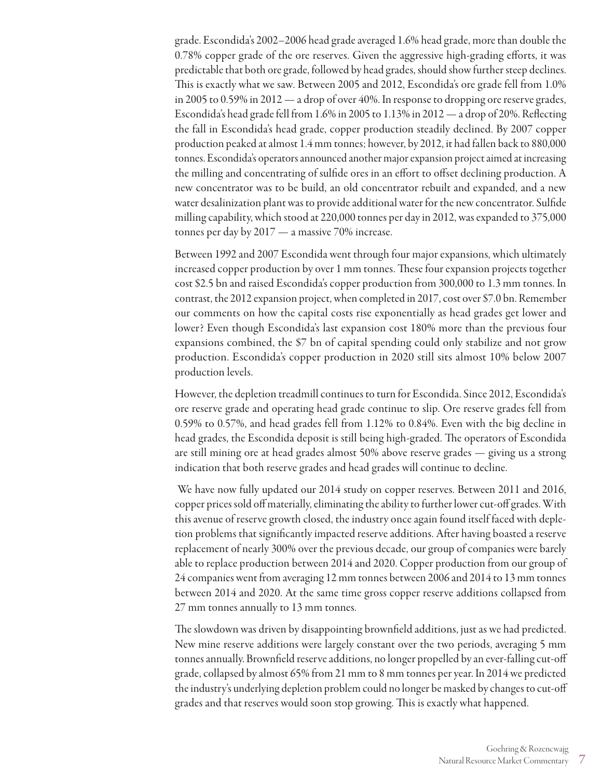grade. Escondida's 2002–2006 head grade averaged 1.6% head grade, more than double the 0.78% copper grade of the ore reserves. Given the aggressive high-grading efforts, it was predictable that both ore grade, followed by head grades, should show further steep declines. This is exactly what we saw. Between 2005 and 2012, Escondida's ore grade fell from 1.0% in 2005 to 0.59% in 2012 — a drop of over 40%. In response to dropping ore reserve grades, Escondida's head grade fell from 1.6% in 2005 to 1.13% in 2012 — a drop of 20%. Reflecting the fall in Escondida's head grade, copper production steadily declined. By 2007 copper production peaked at almost 1.4 mm tonnes; however, by 2012, it had fallen back to 880,000 tonnes. Escondida's operators announced another major expansion project aimed at increasing the milling and concentrating of sulfide ores in an effort to offset declining production. A new concentrator was to be build, an old concentrator rebuilt and expanded, and a new water desalinization plant was to provide additional water for the new concentrator. Sulfide milling capability, which stood at 220,000 tonnes per day in 2012, was expanded to 375,000 tonnes per day by 2017 — a massive 70% increase.

Between 1992 and 2007 Escondida went through four major expansions, which ultimately increased copper production by over 1 mm tonnes. These four expansion projects together cost \$2.5 bn and raised Escondida's copper production from 300,000 to 1.3 mm tonnes. In contrast, the 2012 expansion project, when completed in 2017, cost over \$7.0 bn. Remember our comments on how the capital costs rise exponentially as head grades get lower and lower? Even though Escondida's last expansion cost 180% more than the previous four expansions combined, the \$7 bn of capital spending could only stabilize and not grow production. Escondida's copper production in 2020 still sits almost 10% below 2007 production levels.

However, the depletion treadmill continues to turn for Escondida. Since 2012, Escondida's ore reserve grade and operating head grade continue to slip. Ore reserve grades fell from 0.59% to 0.57%, and head grades fell from 1.12% to 0.84%. Even with the big decline in head grades, the Escondida deposit is still being high-graded. The operators of Escondida are still mining ore at head grades almost 50% above reserve grades — giving us a strong indication that both reserve grades and head grades will continue to decline.

 We have now fully updated our 2014 study on copper reserves. Between 2011 and 2016, copper prices sold off materially, eliminating the ability to further lower cut-off grades. With this avenue of reserve growth closed, the industry once again found itself faced with depletion problems that significantly impacted reserve additions. After having boasted a reserve replacement of nearly 300% over the previous decade, our group of companies were barely able to replace production between 2014 and 2020. Copper production from our group of 24 companies went from averaging 12 mm tonnes between 2006 and 2014 to 13 mm tonnes between 2014 and 2020. At the same time gross copper reserve additions collapsed from 27 mm tonnes annually to 13 mm tonnes.

The slowdown was driven by disappointing brownfield additions, just as we had predicted. New mine reserve additions were largely constant over the two periods, averaging 5 mm tonnes annually. Brownfield reserve additions, no longer propelled by an ever-falling cut-off grade, collapsed by almost 65% from 21 mm to 8 mm tonnes per year. In 2014 we predicted the industry's underlying depletion problem could no longer be masked by changes to cut-off grades and that reserves would soon stop growing. This is exactly what happened.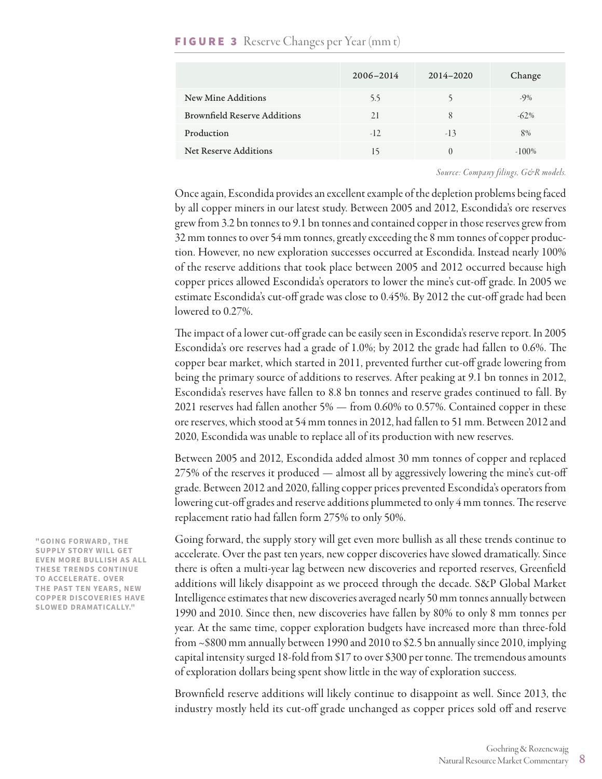|                                     | $2006 - 2014$ | $2014 - 2020$ | Change   |
|-------------------------------------|---------------|---------------|----------|
| New Mine Additions                  | 5.5           |               | $-9\%$   |
| <b>Brownfield Reserve Additions</b> | 21            | 8             | $-62\%$  |
| Production                          | $-12.$        | $-13$         | 8%       |
| <b>Net Reserve Additions</b>        | 15            |               | $-100\%$ |

#### **FIGURE 3** Reserve Changes per Year (mm t)

*Source: Company filings, G&R models.*

Once again, Escondida provides an excellent example of the depletion problems being faced by all copper miners in our latest study. Between 2005 and 2012, Escondida's ore reserves grew from 3.2 bn tonnes to 9.1 bn tonnes and contained copper in those reserves grew from 32 mm tonnes to over 54 mm tonnes, greatly exceeding the 8 mm tonnes of copper production. However, no new exploration successes occurred at Escondida. Instead nearly 100% of the reserve additions that took place between 2005 and 2012 occurred because high copper prices allowed Escondida's operators to lower the mine's cut-off grade. In 2005 we estimate Escondida's cut-off grade was close to 0.45%. By 2012 the cut-off grade had been lowered to 0.27%.

The impact of a lower cut-off grade can be easily seen in Escondida's reserve report. In 2005 Escondida's ore reserves had a grade of 1.0%; by 2012 the grade had fallen to 0.6%. The copper bear market, which started in 2011, prevented further cut-off grade lowering from being the primary source of additions to reserves. After peaking at 9.1 bn tonnes in 2012, Escondida's reserves have fallen to 8.8 bn tonnes and reserve grades continued to fall. By 2021 reserves had fallen another 5% — from 0.60% to 0.57%. Contained copper in these ore reserves, which stood at 54 mm tonnes in 2012, had fallen to 51 mm. Between 2012 and 2020, Escondida was unable to replace all of its production with new reserves.

Between 2005 and 2012, Escondida added almost 30 mm tonnes of copper and replaced 275% of the reserves it produced — almost all by aggressively lowering the mine's cut-off grade. Between 2012 and 2020, falling copper prices prevented Escondida's operators from lowering cut-off grades and reserve additions plummeted to only 4 mm tonnes. The reserve replacement ratio had fallen form 275% to only 50%.

Going forward, the supply story will get even more bullish as all these trends continue to accelerate. Over the past ten years, new copper discoveries have slowed dramatically. Since there is often a multi-year lag between new discoveries and reported reserves, Greenfield additions will likely disappoint as we proceed through the decade. S&P Global Market Intelligence estimates that new discoveries averaged nearly 50 mm tonnes annually between 1990 and 2010. Since then, new discoveries have fallen by 80% to only 8 mm tonnes per year. At the same time, copper exploration budgets have increased more than three-fold from ~\$800 mm annually between 1990 and 2010 to \$2.5 bn annually since 2010, implying capital intensity surged 18-fold from \$17 to over \$300 per tonne. The tremendous amounts of exploration dollars being spent show little in the way of exploration success.

Brownfield reserve additions will likely continue to disappoint as well. Since 2013, the industry mostly held its cut-off grade unchanged as copper prices sold off and reserve

**"GOING FORWARD, THE SUPPLY STORY WILL GET EVEN MORE BULLISH AS ALL THESE TRENDS CONTINUE TO ACCELERATE. OVER THE PAST TEN YEARS, NEW COPPER DISCOVERIES HAVE SLOWED DRAMATICALLY."**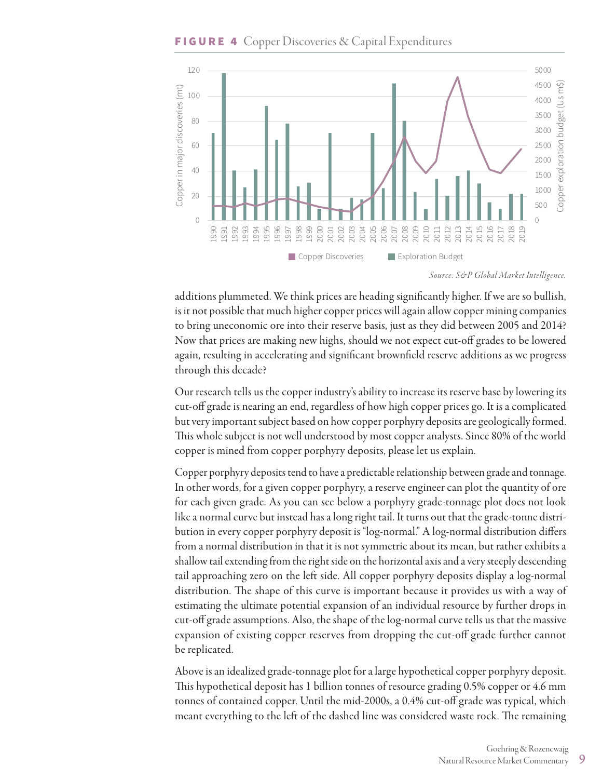#### **FIGURE 4** Copper Discoveries & Capital Expenditures



*Source: S&P Global Market Intelligence.*

additions plummeted. We think prices are heading significantly higher. If we are so bullish, is it not possible that much higher copper prices will again allow copper mining companies to bring uneconomic ore into their reserve basis, just as they did between 2005 and 2014? Now that prices are making new highs, should we not expect cut-off grades to be lowered again, resulting in accelerating and significant brownfield reserve additions as we progress through this decade?

Our research tells us the copper industry's ability to increase its reserve base by lowering its cut-off grade is nearing an end, regardless of how high copper prices go. It is a complicated but very important subject based on how copper porphyry deposits are geologically formed. This whole subject is not well understood by most copper analysts. Since 80% of the world copper is mined from copper porphyry deposits, please let us explain.

Copper porphyry deposits tend to have a predictable relationship between grade and tonnage. In other words, for a given copper porphyry, a reserve engineer can plot the quantity of ore for each given grade. As you can see below a porphyry grade-tonnage plot does not look like a normal curve but instead has a long right tail. It turns out that the grade-tonne distribution in every copper porphyry deposit is "log-normal." A log-normal distribution differs from a normal distribution in that it is not symmetric about its mean, but rather exhibits a shallow tail extending from the right side on the horizontal axis and a very steeply descending tail approaching zero on the left side. All copper porphyry deposits display a log-normal distribution. The shape of this curve is important because it provides us with a way of estimating the ultimate potential expansion of an individual resource by further drops in cut-off grade assumptions. Also, the shape of the log-normal curve tells us that the massive expansion of existing copper reserves from dropping the cut-off grade further cannot be replicated.

Above is an idealized grade-tonnage plot for a large hypothetical copper porphyry deposit. This hypothetical deposit has 1 billion tonnes of resource grading 0.5% copper or 4.6 mm tonnes of contained copper. Until the mid-2000s, a 0.4% cut-off grade was typical, which meant everything to the left of the dashed line was considered waste rock. The remaining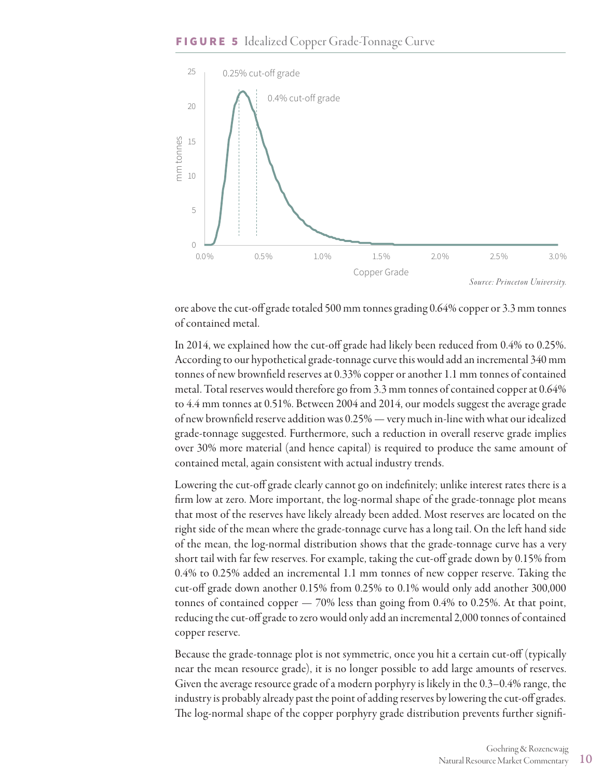

ore above the cut-off grade totaled 500 mm tonnes grading 0.64% copper or 3.3 mm tonnes of contained metal.

In 2014, we explained how the cut-off grade had likely been reduced from 0.4% to 0.25%. According to our hypothetical grade-tonnage curve this would add an incremental 340 mm tonnes of new brownfield reserves at 0.33% copper or another 1.1 mm tonnes of contained metal. Total reserves would therefore go from 3.3 mm tonnes of contained copper at 0.64% to 4.4 mm tonnes at 0.51%. Between 2004 and 2014, our models suggest the average grade of new brownfield reserve addition was 0.25% — very much in-line with what our idealized grade-tonnage suggested. Furthermore, such a reduction in overall reserve grade implies over 30% more material (and hence capital) is required to produce the same amount of contained metal, again consistent with actual industry trends.

Lowering the cut-off grade clearly cannot go on indefinitely; unlike interest rates there is a firm low at zero. More important, the log-normal shape of the grade-tonnage plot means that most of the reserves have likely already been added. Most reserves are located on the right side of the mean where the grade-tonnage curve has a long tail. On the left hand side of the mean, the log-normal distribution shows that the grade-tonnage curve has a very short tail with far few reserves. For example, taking the cut-off grade down by 0.15% from 0.4% to 0.25% added an incremental 1.1 mm tonnes of new copper reserve. Taking the cut-off grade down another 0.15% from 0.25% to 0.1% would only add another 300,000 tonnes of contained copper — 70% less than going from 0.4% to 0.25%. At that point, reducing the cut-off grade to zero would only add an incremental 2,000 tonnes of contained copper reserve.

Because the grade-tonnage plot is not symmetric, once you hit a certain cut-off (typically near the mean resource grade), it is no longer possible to add large amounts of reserves. Given the average resource grade of a modern porphyry is likely in the 0.3–0.4% range, the industry is probably already past the point of adding reserves by lowering the cut-off grades. The log-normal shape of the copper porphyry grade distribution prevents further signifi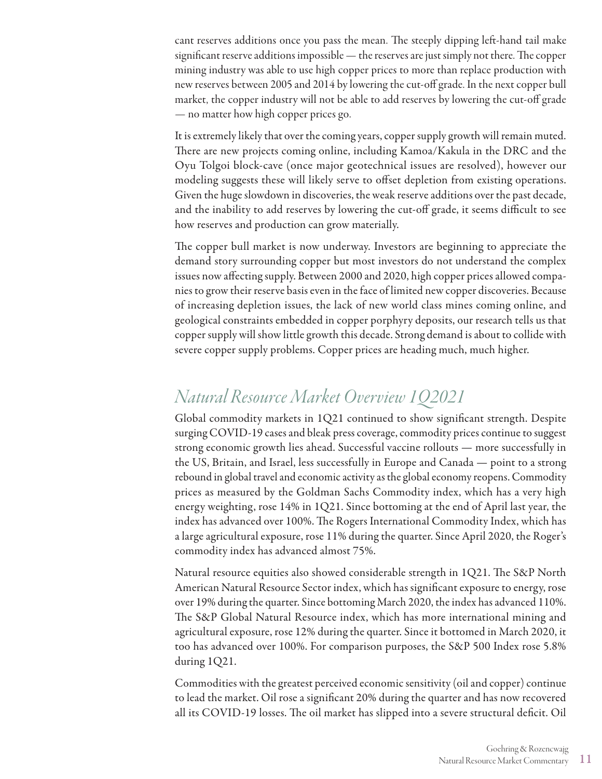cant reserves additions once you pass the mean. The steeply dipping left-hand tail make significant reserve additions impossible — the reserves are just simply not there. The copper mining industry was able to use high copper prices to more than replace production with new reserves between 2005 and 2014 by lowering the cut-off grade. In the next copper bull market, the copper industry will not be able to add reserves by lowering the cut-off grade — no matter how high copper prices go.

It is extremely likely that over the coming years, copper supply growth will remain muted. There are new projects coming online, including Kamoa/Kakula in the DRC and the Oyu Tolgoi block-cave (once major geotechnical issues are resolved), however our modeling suggests these will likely serve to offset depletion from existing operations. Given the huge slowdown in discoveries, the weak reserve additions over the past decade, and the inability to add reserves by lowering the cut-off grade, it seems difficult to see how reserves and production can grow materially.

The copper bull market is now underway. Investors are beginning to appreciate the demand story surrounding copper but most investors do not understand the complex issues now affecting supply. Between 2000 and 2020, high copper prices allowed companies to grow their reserve basis even in the face of limited new copper discoveries. Because of increasing depletion issues, the lack of new world class mines coming online, and geological constraints embedded in copper porphyry deposits, our research tells us that copper supply will show little growth this decade. Strong demand is about to collide with severe copper supply problems. Copper prices are heading much, much higher.

# *Natural Resource Market Overview 1Q2021*

Global commodity markets in 1Q21 continued to show significant strength. Despite surging COVID-19 cases and bleak press coverage, commodity prices continue to suggest strong economic growth lies ahead. Successful vaccine rollouts — more successfully in the US, Britain, and Israel, less successfully in Europe and Canada — point to a strong rebound in global travel and economic activity as the global economy reopens. Commodity prices as measured by the Goldman Sachs Commodity index, which has a very high energy weighting, rose 14% in 1Q21. Since bottoming at the end of April last year, the index has advanced over 100%. The Rogers International Commodity Index, which has a large agricultural exposure, rose 11% during the quarter. Since April 2020, the Roger's commodity index has advanced almost 75%.

Natural resource equities also showed considerable strength in 1Q21. The S&P North American Natural Resource Sector index, which has significant exposure to energy, rose over 19% during the quarter. Since bottoming March 2020, the index has advanced 110%. The S&P Global Natural Resource index, which has more international mining and agricultural exposure, rose 12% during the quarter. Since it bottomed in March 2020, it too has advanced over 100%. For comparison purposes, the S&P 500 Index rose 5.8% during 1Q21.

Commodities with the greatest perceived economic sensitivity (oil and copper) continue to lead the market. Oil rose a significant 20% during the quarter and has now recovered all its COVID-19 losses. The oil market has slipped into a severe structural deficit. Oil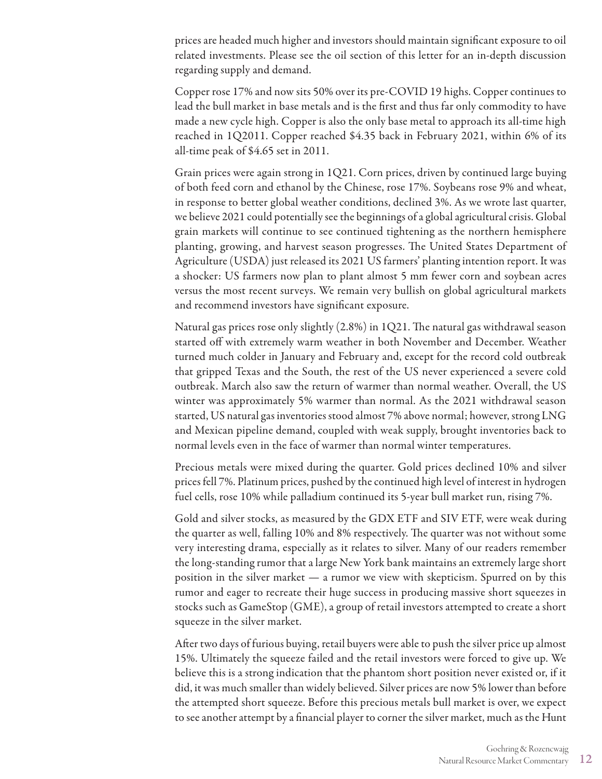prices are headed much higher and investors should maintain significant exposure to oil related investments. Please see the oil section of this letter for an in-depth discussion regarding supply and demand.

Copper rose 17% and now sits 50% over its pre-COVID 19 highs. Copper continues to lead the bull market in base metals and is the first and thus far only commodity to have made a new cycle high. Copper is also the only base metal to approach its all-time high reached in 1Q2011. Copper reached \$4.35 back in February 2021, within 6% of its all-time peak of \$4.65 set in 2011.

Grain prices were again strong in 1Q21. Corn prices, driven by continued large buying of both feed corn and ethanol by the Chinese, rose 17%. Soybeans rose 9% and wheat, in response to better global weather conditions, declined 3%. As we wrote last quarter, we believe 2021 could potentially see the beginnings of a global agricultural crisis. Global grain markets will continue to see continued tightening as the northern hemisphere planting, growing, and harvest season progresses. The United States Department of Agriculture (USDA) just released its 2021 US farmers' planting intention report. It was a shocker: US farmers now plan to plant almost 5 mm fewer corn and soybean acres versus the most recent surveys. We remain very bullish on global agricultural markets and recommend investors have significant exposure.

Natural gas prices rose only slightly (2.8%) in 1Q21. The natural gas withdrawal season started off with extremely warm weather in both November and December. Weather turned much colder in January and February and, except for the record cold outbreak that gripped Texas and the South, the rest of the US never experienced a severe cold outbreak. March also saw the return of warmer than normal weather. Overall, the US winter was approximately 5% warmer than normal. As the 2021 withdrawal season started, US natural gas inventories stood almost 7% above normal; however, strong LNG and Mexican pipeline demand, coupled with weak supply, brought inventories back to normal levels even in the face of warmer than normal winter temperatures.

Precious metals were mixed during the quarter. Gold prices declined 10% and silver prices fell 7%. Platinum prices, pushed by the continued high level of interest in hydrogen fuel cells, rose 10% while palladium continued its 5-year bull market run, rising 7%.

Gold and silver stocks, as measured by the GDX ETF and SIV ETF, were weak during the quarter as well, falling 10% and 8% respectively. The quarter was not without some very interesting drama, especially as it relates to silver. Many of our readers remember the long-standing rumor that a large New York bank maintains an extremely large short position in the silver market — a rumor we view with skepticism. Spurred on by this rumor and eager to recreate their huge success in producing massive short squeezes in stocks such as GameStop (GME), a group of retail investors attempted to create a short squeeze in the silver market.

After two days of furious buying, retail buyers were able to push the silver price up almost 15%. Ultimately the squeeze failed and the retail investors were forced to give up. We believe this is a strong indication that the phantom short position never existed or, if it did, it was much smaller than widely believed. Silver prices are now 5% lower than before the attempted short squeeze. Before this precious metals bull market is over, we expect to see another attempt by a financial player to corner the silver market, much as the Hunt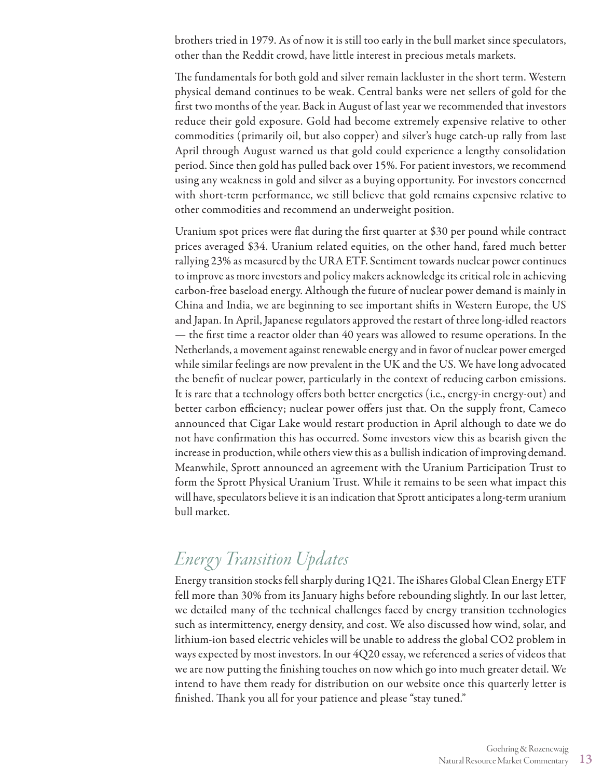brothers tried in 1979. As of now it is still too early in the bull market since speculators, other than the Reddit crowd, have little interest in precious metals markets.

The fundamentals for both gold and silver remain lackluster in the short term. Western physical demand continues to be weak. Central banks were net sellers of gold for the first two months of the year. Back in August of last year we recommended that investors reduce their gold exposure. Gold had become extremely expensive relative to other commodities (primarily oil, but also copper) and silver's huge catch-up rally from last April through August warned us that gold could experience a lengthy consolidation period. Since then gold has pulled back over 15%. For patient investors, we recommend using any weakness in gold and silver as a buying opportunity. For investors concerned with short-term performance, we still believe that gold remains expensive relative to other commodities and recommend an underweight position.

Uranium spot prices were flat during the first quarter at \$30 per pound while contract prices averaged \$34. Uranium related equities, on the other hand, fared much better rallying 23% as measured by the URA ETF. Sentiment towards nuclear power continues to improve as more investors and policy makers acknowledge its critical role in achieving carbon-free baseload energy. Although the future of nuclear power demand is mainly in China and India, we are beginning to see important shifts in Western Europe, the US and Japan. In April, Japanese regulators approved the restart of three long-idled reactors — the first time a reactor older than 40 years was allowed to resume operations. In the Netherlands, a movement against renewable energy and in favor of nuclear power emerged while similar feelings are now prevalent in the UK and the US. We have long advocated the benefit of nuclear power, particularly in the context of reducing carbon emissions. It is rare that a technology offers both better energetics (i.e., energy-in energy-out) and better carbon efficiency; nuclear power offers just that. On the supply front, Cameco announced that Cigar Lake would restart production in April although to date we do not have confirmation this has occurred. Some investors view this as bearish given the increase in production, while others view this as a bullish indication of improving demand. Meanwhile, Sprott announced an agreement with the Uranium Participation Trust to form the Sprott Physical Uranium Trust. While it remains to be seen what impact this will have, speculators believe it is an indication that Sprott anticipates a long-term uranium bull market.

# *Energ y Transition Updates*

Energy transition stocks fell sharply during 1Q21. The iShares Global Clean Energy ETF fell more than 30% from its January highs before rebounding slightly. In our last letter, we detailed many of the technical challenges faced by energy transition technologies such as intermittency, energy density, and cost. We also discussed how wind, solar, and lithium-ion based electric vehicles will be unable to address the global CO2 problem in ways expected by most investors. In our 4Q20 essay, we referenced a series of videos that we are now putting the finishing touches on now which go into much greater detail. We intend to have them ready for distribution on our website once this quarterly letter is finished. Thank you all for your patience and please "stay tuned."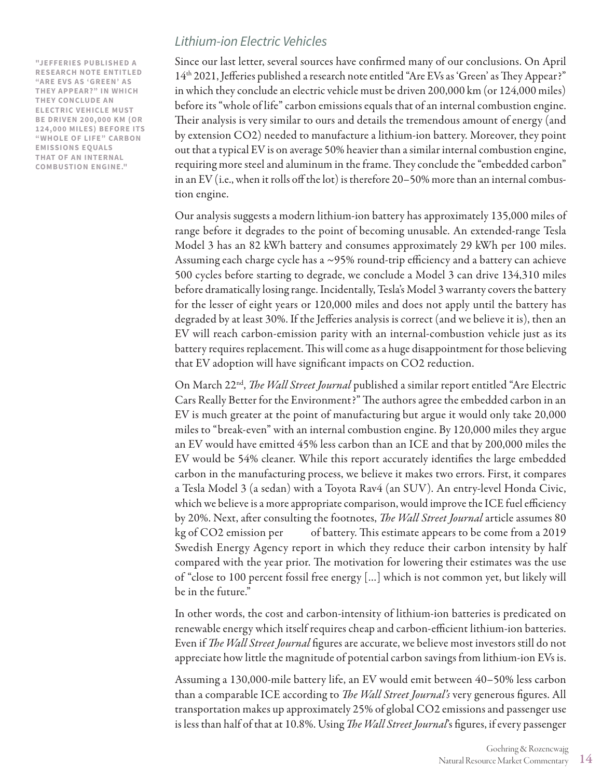**"JEFFERIES PUBLISHED A RESEARCH NOTE ENTITLED "ARE EVS AS 'GREEN' AS THEY APPEAR?" IN WHICH THEY CONCLUDE AN ELECTRIC VEHICLE MUST BE DRIVEN 200,000 KM (OR 124,000 MILES) BEFORE ITS "WHOLE OF LIFE" CARBON EMISSIONS EQUALS THAT OF AN INTERNAL COMBUSTION ENGINE."**

### *Lithium-ion Electric Vehicles*

Since our last letter, several sources have confirmed many of our conclusions. On April 14<sup>th</sup> 2021, Jefferies published a research note entitled "Are EVs as 'Green' as They Appear?" in which they conclude an electric vehicle must be driven 200,000 km (or 124,000 miles) before its "whole of life" carbon emissions equals that of an internal combustion engine. Their analysis is very similar to ours and details the tremendous amount of energy (and by extension CO2) needed to manufacture a lithium-ion battery. Moreover, they point out that a typical EV is on average 50% heavier than a similar internal combustion engine, requiring more steel and aluminum in the frame. They conclude the "embedded carbon" in an EV (i.e., when it rolls off the lot) is therefore 20–50% more than an internal combustion engine.

Our analysis suggests a modern lithium-ion battery has approximately 135,000 miles of range before it degrades to the point of becoming unusable. An extended-range Tesla Model 3 has an 82 kWh battery and consumes approximately 29 kWh per 100 miles. Assuming each charge cycle has a ~95% round-trip efficiency and a battery can achieve 500 cycles before starting to degrade, we conclude a Model 3 can drive 134,310 miles before dramatically losing range. Incidentally, Tesla's Model 3 warranty covers the battery for the lesser of eight years or 120,000 miles and does not apply until the battery has degraded by at least 30%. If the Jefferies analysis is correct (and we believe it is), then an EV will reach carbon-emission parity with an internal-combustion vehicle just as its battery requires replacement. This will come as a huge disappointment for those believing that EV adoption will have significant impacts on CO2 reduction.

On March 22nd, *The Wall Street Journal* published a similar report entitled "Are Electric Cars Really Better for the Environment?" The authors agree the embedded carbon in an EV is much greater at the point of manufacturing but argue it would only take 20,000 miles to "break-even" with an internal combustion engine. By 120,000 miles they argue an EV would have emitted 45% less carbon than an ICE and that by 200,000 miles the EV would be 54% cleaner. While this report accurately identifies the large embedded carbon in the manufacturing process, we believe it makes two errors. First, it compares a Tesla Model 3 (a sedan) with a Toyota Rav4 (an SUV). An entry-level Honda Civic, which we believe is a more appropriate comparison, would improve the ICE fuel efficiency by 20%. Next, after consulting the footnotes, *The Wall Street Journal* article assumes 80 kg of CO2 emission per of battery. This estimate appears to be come from a 2019 Swedish Energy Agency report in which they reduce their carbon intensity by half compared with the year prior. The motivation for lowering their estimates was the use of "close to 100 percent fossil free energy […] which is not common yet, but likely will be in the future."

In other words, the cost and carbon-intensity of lithium-ion batteries is predicated on renewable energy which itself requires cheap and carbon-efficient lithium-ion batteries. Even if *The Wall Street Journal* figures are accurate, we believe most investors still do not appreciate how little the magnitude of potential carbon savings from lithium-ion EVs is.

Assuming a 130,000-mile battery life, an EV would emit between 40–50% less carbon than a comparable ICE according to *The Wall Street Journal's* very generous figures. All transportation makes up approximately 25% of global CO2 emissions and passenger use is less than half of that at 10.8%. Using *The Wall Street Journal*'s figures, if every passenger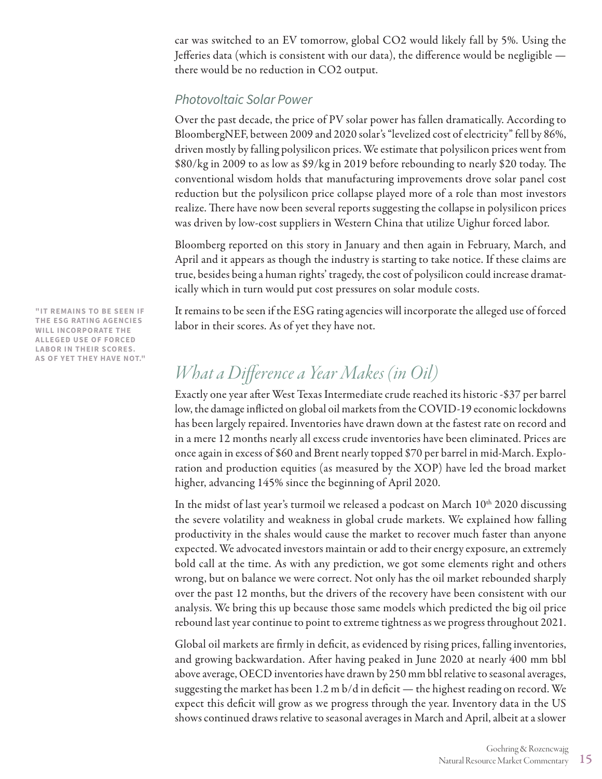car was switched to an EV tomorrow, global CO2 would likely fall by 5%. Using the Jefferies data (which is consistent with our data), the difference would be negligible there would be no reduction in CO2 output.

### *Photovoltaic Solar Power*

Over the past decade, the price of PV solar power has fallen dramatically. According to BloombergNEF, between 2009 and 2020 solar's "levelized cost of electricity" fell by 86%, driven mostly by falling polysilicon prices. We estimate that polysilicon prices went from \$80/kg in 2009 to as low as \$9/kg in 2019 before rebounding to nearly \$20 today. The conventional wisdom holds that manufacturing improvements drove solar panel cost reduction but the polysilicon price collapse played more of a role than most investors realize. There have now been several reports suggesting the collapse in polysilicon prices was driven by low-cost suppliers in Western China that utilize Uighur forced labor.

Bloomberg reported on this story in January and then again in February, March, and April and it appears as though the industry is starting to take notice. If these claims are true, besides being a human rights' tragedy, the cost of polysilicon could increase dramatically which in turn would put cost pressures on solar module costs.

It remains to be seen if the ESG rating agencies will incorporate the alleged use of forced labor in their scores. As of yet they have not.

# *What a Difference a Year Makes (in Oil)*

Exactly one year after West Texas Intermediate crude reached its historic -\$37 per barrel low, the damage inflicted on global oil markets from the COVID-19 economic lockdowns has been largely repaired. Inventories have drawn down at the fastest rate on record and in a mere 12 months nearly all excess crude inventories have been eliminated. Prices are once again in excess of \$60 and Brent nearly topped \$70 per barrel in mid-March. Exploration and production equities (as measured by the XOP) have led the broad market higher, advancing 145% since the beginning of April 2020.

In the midst of last year's turmoil we released a podcast on March  $10<sup>th</sup>$  2020 discussing the severe volatility and weakness in global crude markets. We explained how falling productivity in the shales would cause the market to recover much faster than anyone expected. We advocated investors maintain or add to their energy exposure, an extremely bold call at the time. As with any prediction, we got some elements right and others wrong, but on balance we were correct. Not only has the oil market rebounded sharply over the past 12 months, but the drivers of the recovery have been consistent with our analysis. We bring this up because those same models which predicted the big oil price rebound last year continue to point to extreme tightness as we progress throughout 2021.

Global oil markets are firmly in deficit, as evidenced by rising prices, falling inventories, and growing backwardation. After having peaked in June 2020 at nearly 400 mm bbl above average, OECD inventories have drawn by 250 mm bbl relative to seasonal averages, suggesting the market has been 1.2 m b/d in deficit — the highest reading on record. We expect this deficit will grow as we progress through the year. Inventory data in the US shows continued draws relative to seasonal averages in March and April, albeit at a slower

**"IT REMAINS TO BE SEEN IF THE ESG RATING AGENCIES WILL INCORPORATE THE ALLEGED USE OF FORCED LABOR IN THEIR SCORES. AS OF YET THEY HAVE NOT."**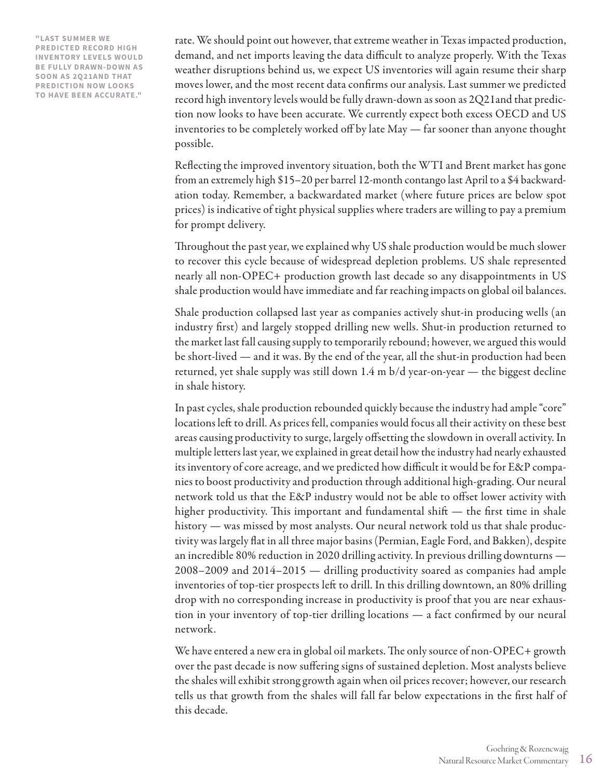**"LAST SUMMER WE PREDICTED RECORD HIGH INVENTORY LEVELS WOULD BE FULLY DRAWN-DOWN AS SOON AS 2Q21AND THAT PREDICTION NOW LOOKS TO HAVE BEEN ACCURATE."**

rate. We should point out however, that extreme weather in Texas impacted production, demand, and net imports leaving the data difficult to analyze properly. With the Texas weather disruptions behind us, we expect US inventories will again resume their sharp moves lower, and the most recent data confirms our analysis. Last summer we predicted record high inventory levels would be fully drawn-down as soon as 2Q21and that prediction now looks to have been accurate. We currently expect both excess OECD and US inventories to be completely worked off by late May — far sooner than anyone thought possible.

Reflecting the improved inventory situation, both the WTI and Brent market has gone from an extremely high \$15–20 per barrel 12-month contango last April to a \$4 backwardation today. Remember, a backwardated market (where future prices are below spot prices) is indicative of tight physical supplies where traders are willing to pay a premium for prompt delivery.

Throughout the past year, we explained why US shale production would be much slower to recover this cycle because of widespread depletion problems. US shale represented nearly all non-OPEC+ production growth last decade so any disappointments in US shale production would have immediate and far reaching impacts on global oil balances.

Shale production collapsed last year as companies actively shut-in producing wells (an industry first) and largely stopped drilling new wells. Shut-in production returned to the market last fall causing supply to temporarily rebound; however, we argued this would be short-lived — and it was. By the end of the year, all the shut-in production had been returned, yet shale supply was still down 1.4 m b/d year-on-year — the biggest decline in shale history.

In past cycles, shale production rebounded quickly because the industry had ample "core" locations left to drill. As prices fell, companies would focus all their activity on these best areas causing productivity to surge, largely offsetting the slowdown in overall activity. In multiple letters last year, we explained in great detail how the industry had nearly exhausted its inventory of core acreage, and we predicted how difficult it would be for E&P companies to boost productivity and production through additional high-grading. Our neural network told us that the E&P industry would not be able to offset lower activity with higher productivity. This important and fundamental shift  $-$  the first time in shale history — was missed by most analysts. Our neural network told us that shale productivity was largely flat in all three major basins (Permian, Eagle Ford, and Bakken), despite an incredible 80% reduction in 2020 drilling activity. In previous drilling downturns — 2008–2009 and 2014–2015 — drilling productivity soared as companies had ample inventories of top-tier prospects left to drill. In this drilling downtown, an 80% drilling drop with no corresponding increase in productivity is proof that you are near exhaustion in your inventory of top-tier drilling locations — a fact confirmed by our neural network.

We have entered a new era in global oil markets. The only source of non-OPEC+ growth over the past decade is now suffering signs of sustained depletion. Most analysts believe the shales will exhibit strong growth again when oil prices recover; however, our research tells us that growth from the shales will fall far below expectations in the first half of this decade.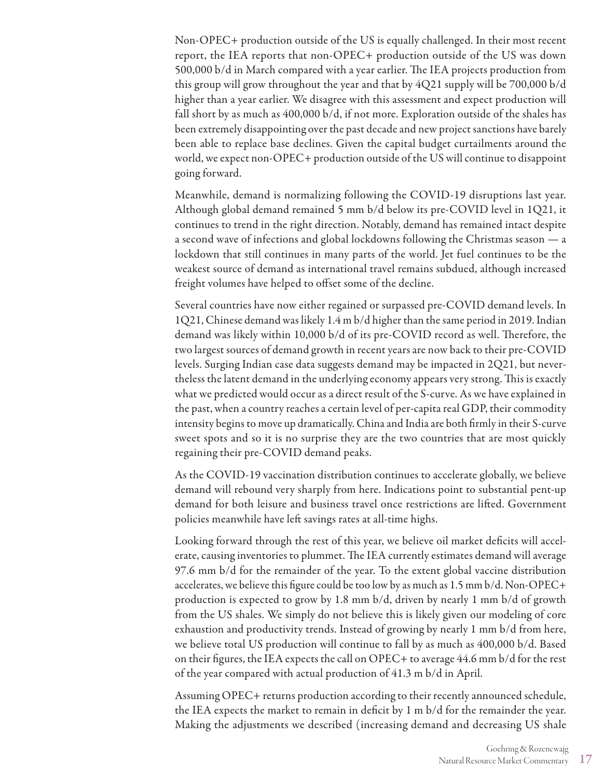Non-OPEC+ production outside of the US is equally challenged. In their most recent report, the IEA reports that non-OPEC+ production outside of the US was down 500,000 b/d in March compared with a year earlier. The IEA projects production from this group will grow throughout the year and that by 4Q21 supply will be 700,000 b/d higher than a year earlier. We disagree with this assessment and expect production will fall short by as much as 400,000 b/d, if not more. Exploration outside of the shales has been extremely disappointing over the past decade and new project sanctions have barely been able to replace base declines. Given the capital budget curtailments around the world, we expect non-OPEC+ production outside of the US will continue to disappoint going forward.

Meanwhile, demand is normalizing following the COVID-19 disruptions last year. Although global demand remained 5 mm b/d below its pre-COVID level in 1Q21, it continues to trend in the right direction. Notably, demand has remained intact despite a second wave of infections and global lockdowns following the Christmas season — a lockdown that still continues in many parts of the world. Jet fuel continues to be the weakest source of demand as international travel remains subdued, although increased freight volumes have helped to offset some of the decline.

Several countries have now either regained or surpassed pre-COVID demand levels. In 1Q21, Chinese demand was likely 1.4 m b/d higher than the same period in 2019. Indian demand was likely within 10,000 b/d of its pre-COVID record as well. Therefore, the two largest sources of demand growth in recent years are now back to their pre-COVID levels. Surging Indian case data suggests demand may be impacted in 2Q21, but nevertheless the latent demand in the underlying economy appears very strong. This is exactly what we predicted would occur as a direct result of the S-curve. As we have explained in the past, when a country reaches a certain level of per-capita real GDP, their commodity intensity begins to move up dramatically. China and India are both firmly in their S-curve sweet spots and so it is no surprise they are the two countries that are most quickly regaining their pre-COVID demand peaks.

As the COVID-19 vaccination distribution continues to accelerate globally, we believe demand will rebound very sharply from here. Indications point to substantial pent-up demand for both leisure and business travel once restrictions are lifted. Government policies meanwhile have left savings rates at all-time highs.

Looking forward through the rest of this year, we believe oil market deficits will accelerate, causing inventories to plummet. The IEA currently estimates demand will average 97.6 mm b/d for the remainder of the year. To the extent global vaccine distribution accelerates, we believe this figure could be too low by as much as 1.5 mm b/d. Non-OPEC+ production is expected to grow by 1.8 mm b/d, driven by nearly 1 mm b/d of growth from the US shales. We simply do not believe this is likely given our modeling of core exhaustion and productivity trends. Instead of growing by nearly 1 mm b/d from here, we believe total US production will continue to fall by as much as 400,000 b/d. Based on their figures, the IEA expects the call on OPEC+ to average 44.6 mm b/d for the rest of the year compared with actual production of 41.3 m b/d in April.

Assuming OPEC+ returns production according to their recently announced schedule, the IEA expects the market to remain in deficit by 1 m b/d for the remainder the year. Making the adjustments we described (increasing demand and decreasing US shale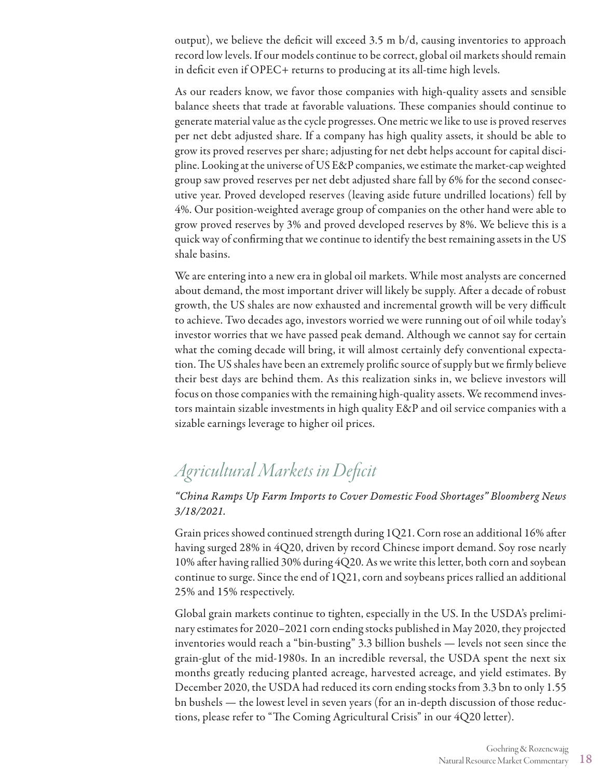output), we believe the deficit will exceed 3.5 m b/d, causing inventories to approach record low levels. If our models continue to be correct, global oil markets should remain in deficit even if OPEC+ returns to producing at its all-time high levels.

As our readers know, we favor those companies with high-quality assets and sensible balance sheets that trade at favorable valuations. These companies should continue to generate material value as the cycle progresses. One metric we like to use is proved reserves per net debt adjusted share. If a company has high quality assets, it should be able to grow its proved reserves per share; adjusting for net debt helps account for capital discipline. Looking at the universe of US E&P companies, we estimate the market-cap weighted group saw proved reserves per net debt adjusted share fall by 6% for the second consecutive year. Proved developed reserves (leaving aside future undrilled locations) fell by 4%. Our position-weighted average group of companies on the other hand were able to grow proved reserves by 3% and proved developed reserves by 8%. We believe this is a quick way of confirming that we continue to identify the best remaining assets in the US shale basins.

We are entering into a new era in global oil markets. While most analysts are concerned about demand, the most important driver will likely be supply. After a decade of robust growth, the US shales are now exhausted and incremental growth will be very difficult to achieve. Two decades ago, investors worried we were running out of oil while today's investor worries that we have passed peak demand. Although we cannot say for certain what the coming decade will bring, it will almost certainly defy conventional expectation. The US shales have been an extremely prolific source of supply but we firmly believe their best days are behind them. As this realization sinks in, we believe investors will focus on those companies with the remaining high-quality assets. We recommend investors maintain sizable investments in high quality E&P and oil service companies with a sizable earnings leverage to higher oil prices.

# *Agricultural Markets in Deficit*

### *"China Ramps Up Farm Imports to Cover Domestic Food Shortages" Bloomberg News 3/18/2021.*

Grain prices showed continued strength during 1Q21. Corn rose an additional 16% after having surged 28% in 4Q20, driven by record Chinese import demand. Soy rose nearly 10% after having rallied 30% during 4Q20. As we write this letter, both corn and soybean continue to surge. Since the end of 1Q21, corn and soybeans prices rallied an additional 25% and 15% respectively.

Global grain markets continue to tighten, especially in the US. In the USDA's preliminary estimates for 2020–2021 corn ending stocks published in May 2020, they projected inventories would reach a "bin-busting" 3.3 billion bushels — levels not seen since the grain-glut of the mid-1980s. In an incredible reversal, the USDA spent the next six months greatly reducing planted acreage, harvested acreage, and yield estimates. By December 2020, the USDA had reduced its corn ending stocks from 3.3 bn to only 1.55 bn bushels — the lowest level in seven years (for an in-depth discussion of those reductions, please refer to "The Coming Agricultural Crisis" in our 4Q20 letter).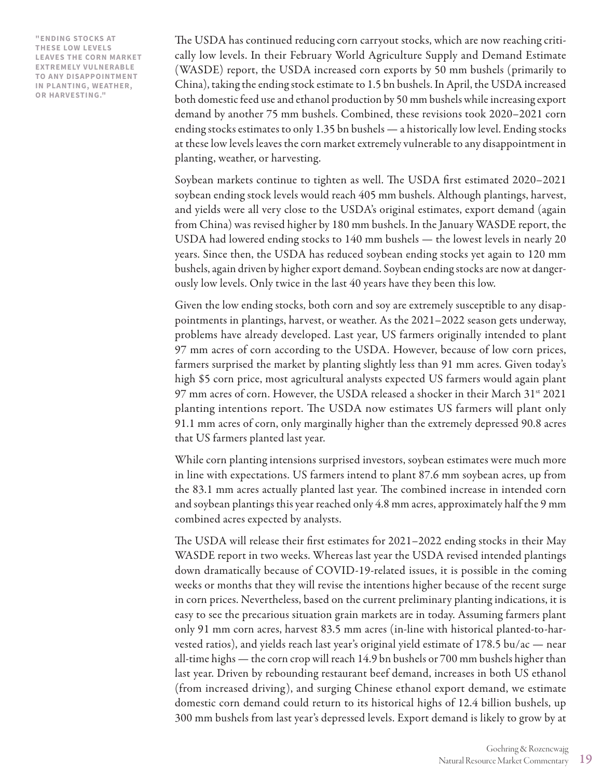**"ENDING STOCKS AT THESE LOW LEVELS LEAVES THE CORN MARKET EXTREMELY VULNERABLE TO ANY DISAPPOINTMENT IN PLANTING, WEATHER, OR HARVESTING."**

The USDA has continued reducing corn carryout stocks, which are now reaching critically low levels. In their February World Agriculture Supply and Demand Estimate (WASDE) report, the USDA increased corn exports by 50 mm bushels (primarily to China), taking the ending stock estimate to 1.5 bn bushels. In April, the USDA increased both domestic feed use and ethanol production by 50 mm bushels while increasing export demand by another 75 mm bushels. Combined, these revisions took 2020–2021 corn ending stocks estimates to only 1.35 bn bushels — a historically low level. Ending stocks at these low levels leaves the corn market extremely vulnerable to any disappointment in planting, weather, or harvesting.

Soybean markets continue to tighten as well. The USDA first estimated 2020–2021 soybean ending stock levels would reach 405 mm bushels. Although plantings, harvest, and yields were all very close to the USDA's original estimates, export demand (again from China) was revised higher by 180 mm bushels. In the January WASDE report, the USDA had lowered ending stocks to 140 mm bushels — the lowest levels in nearly 20 years. Since then, the USDA has reduced soybean ending stocks yet again to 120 mm bushels, again driven by higher export demand. Soybean ending stocks are now at dangerously low levels. Only twice in the last 40 years have they been this low.

Given the low ending stocks, both corn and soy are extremely susceptible to any disappointments in plantings, harvest, or weather. As the 2021–2022 season gets underway, problems have already developed. Last year, US farmers originally intended to plant 97 mm acres of corn according to the USDA. However, because of low corn prices, farmers surprised the market by planting slightly less than 91 mm acres. Given today's high \$5 corn price, most agricultural analysts expected US farmers would again plant 97 mm acres of corn. However, the USDA released a shocker in their March  $31^{st}$  2021 planting intentions report. The USDA now estimates US farmers will plant only 91.1 mm acres of corn, only marginally higher than the extremely depressed 90.8 acres that US farmers planted last year.

While corn planting intensions surprised investors, soybean estimates were much more in line with expectations. US farmers intend to plant 87.6 mm soybean acres, up from the 83.1 mm acres actually planted last year. The combined increase in intended corn and soybean plantings this year reached only 4.8 mm acres, approximately half the 9 mm combined acres expected by analysts.

The USDA will release their first estimates for 2021–2022 ending stocks in their May WASDE report in two weeks. Whereas last year the USDA revised intended plantings down dramatically because of COVID-19-related issues, it is possible in the coming weeks or months that they will revise the intentions higher because of the recent surge in corn prices. Nevertheless, based on the current preliminary planting indications, it is easy to see the precarious situation grain markets are in today. Assuming farmers plant only 91 mm corn acres, harvest 83.5 mm acres (in-line with historical planted-to-harvested ratios), and yields reach last year's original yield estimate of 178.5 bu/ac — near all-time highs — the corn crop will reach 14.9 bn bushels or 700 mm bushels higher than last year. Driven by rebounding restaurant beef demand, increases in both US ethanol (from increased driving), and surging Chinese ethanol export demand, we estimate domestic corn demand could return to its historical highs of 12.4 billion bushels, up 300 mm bushels from last year's depressed levels. Export demand is likely to grow by at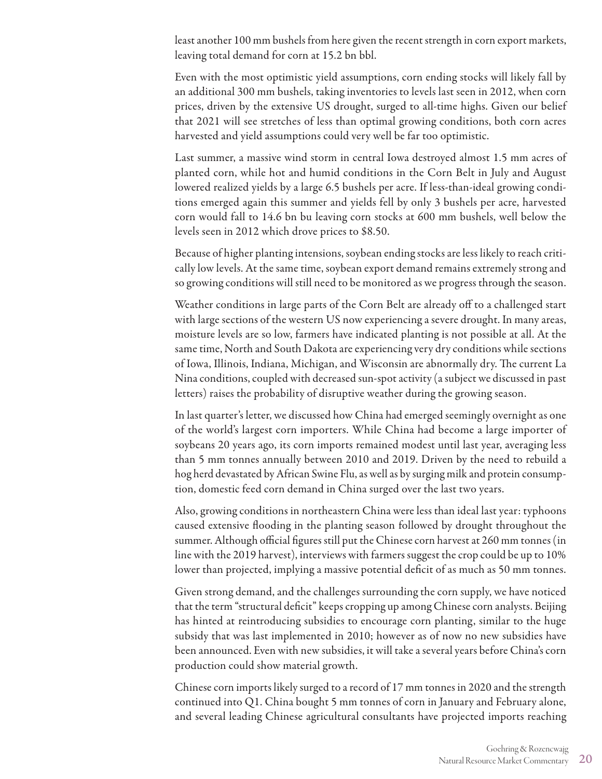least another 100 mm bushels from here given the recent strength in corn export markets, leaving total demand for corn at 15.2 bn bbl.

Even with the most optimistic yield assumptions, corn ending stocks will likely fall by an additional 300 mm bushels, taking inventories to levels last seen in 2012, when corn prices, driven by the extensive US drought, surged to all-time highs. Given our belief that 2021 will see stretches of less than optimal growing conditions, both corn acres harvested and yield assumptions could very well be far too optimistic.

Last summer, a massive wind storm in central Iowa destroyed almost 1.5 mm acres of planted corn, while hot and humid conditions in the Corn Belt in July and August lowered realized yields by a large 6.5 bushels per acre. If less-than-ideal growing conditions emerged again this summer and yields fell by only 3 bushels per acre, harvested corn would fall to 14.6 bn bu leaving corn stocks at 600 mm bushels, well below the levels seen in 2012 which drove prices to \$8.50.

Because of higher planting intensions, soybean ending stocks are less likely to reach critically low levels. At the same time, soybean export demand remains extremely strong and so growing conditions will still need to be monitored as we progress through the season.

Weather conditions in large parts of the Corn Belt are already off to a challenged start with large sections of the western US now experiencing a severe drought. In many areas, moisture levels are so low, farmers have indicated planting is not possible at all. At the same time, North and South Dakota are experiencing very dry conditions while sections of Iowa, Illinois, Indiana, Michigan, and Wisconsin are abnormally dry. The current La Nina conditions, coupled with decreased sun-spot activity (a subject we discussed in past letters) raises the probability of disruptive weather during the growing season.

In last quarter's letter, we discussed how China had emerged seemingly overnight as one of the world's largest corn importers. While China had become a large importer of soybeans 20 years ago, its corn imports remained modest until last year, averaging less than 5 mm tonnes annually between 2010 and 2019. Driven by the need to rebuild a hog herd devastated by African Swine Flu, as well as by surging milk and protein consumption, domestic feed corn demand in China surged over the last two years.

Also, growing conditions in northeastern China were less than ideal last year: typhoons caused extensive flooding in the planting season followed by drought throughout the summer. Although official figures still put the Chinese corn harvest at 260 mm tonnes (in line with the 2019 harvest), interviews with farmers suggest the crop could be up to 10% lower than projected, implying a massive potential deficit of as much as 50 mm tonnes.

Given strong demand, and the challenges surrounding the corn supply, we have noticed that the term "structural deficit" keeps cropping up among Chinese corn analysts. Beijing has hinted at reintroducing subsidies to encourage corn planting, similar to the huge subsidy that was last implemented in 2010; however as of now no new subsidies have been announced. Even with new subsidies, it will take a several years before China's corn production could show material growth.

Chinese corn imports likely surged to a record of 17 mm tonnes in 2020 and the strength continued into Q1. China bought 5 mm tonnes of corn in January and February alone, and several leading Chinese agricultural consultants have projected imports reaching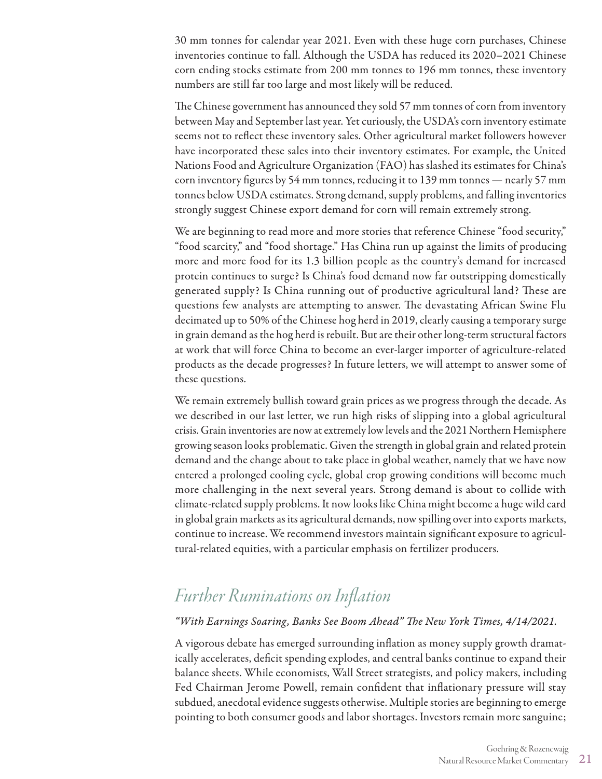30 mm tonnes for calendar year 2021. Even with these huge corn purchases, Chinese inventories continue to fall. Although the USDA has reduced its 2020–2021 Chinese corn ending stocks estimate from 200 mm tonnes to 196 mm tonnes, these inventory numbers are still far too large and most likely will be reduced.

The Chinese government has announced they sold 57 mm tonnes of corn from inventory between May and September last year. Yet curiously, the USDA's corn inventory estimate seems not to reflect these inventory sales. Other agricultural market followers however have incorporated these sales into their inventory estimates. For example, the United Nations Food and Agriculture Organization (FAO) has slashed its estimates for China's corn inventory figures by 54 mm tonnes, reducing it to 139 mm tonnes — nearly 57 mm tonnes below USDA estimates. Strong demand, supply problems, and falling inventories strongly suggest Chinese export demand for corn will remain extremely strong.

We are beginning to read more and more stories that reference Chinese "food security," "food scarcity," and "food shortage." Has China run up against the limits of producing more and more food for its 1.3 billion people as the country's demand for increased protein continues to surge? Is China's food demand now far outstripping domestically generated supply? Is China running out of productive agricultural land? These are questions few analysts are attempting to answer. The devastating African Swine Flu decimated up to 50% of the Chinese hog herd in 2019, clearly causing a temporary surge in grain demand as the hog herd is rebuilt. But are their other long-term structural factors at work that will force China to become an ever-larger importer of agriculture-related products as the decade progresses? In future letters, we will attempt to answer some of these questions.

We remain extremely bullish toward grain prices as we progress through the decade. As we described in our last letter, we run high risks of slipping into a global agricultural crisis. Grain inventories are now at extremely low levels and the 2021 Northern Hemisphere growing season looks problematic. Given the strength in global grain and related protein demand and the change about to take place in global weather, namely that we have now entered a prolonged cooling cycle, global crop growing conditions will become much more challenging in the next several years. Strong demand is about to collide with climate-related supply problems. It now looks like China might become a huge wild card in global grain markets as its agricultural demands, now spilling over into exports markets, continue to increase. We recommend investors maintain significant exposure to agricultural-related equities, with a particular emphasis on fertilizer producers.

# *Further Ruminations on Inflation*

#### *"With Earnings Soaring, Banks See Boom Ahead" The New York Times, 4/14/2021.*

A vigorous debate has emerged surrounding inflation as money supply growth dramatically accelerates, deficit spending explodes, and central banks continue to expand their balance sheets. While economists, Wall Street strategists, and policy makers, including Fed Chairman Jerome Powell, remain confident that inflationary pressure will stay subdued, anecdotal evidence suggests otherwise. Multiple stories are beginning to emerge pointing to both consumer goods and labor shortages. Investors remain more sanguine;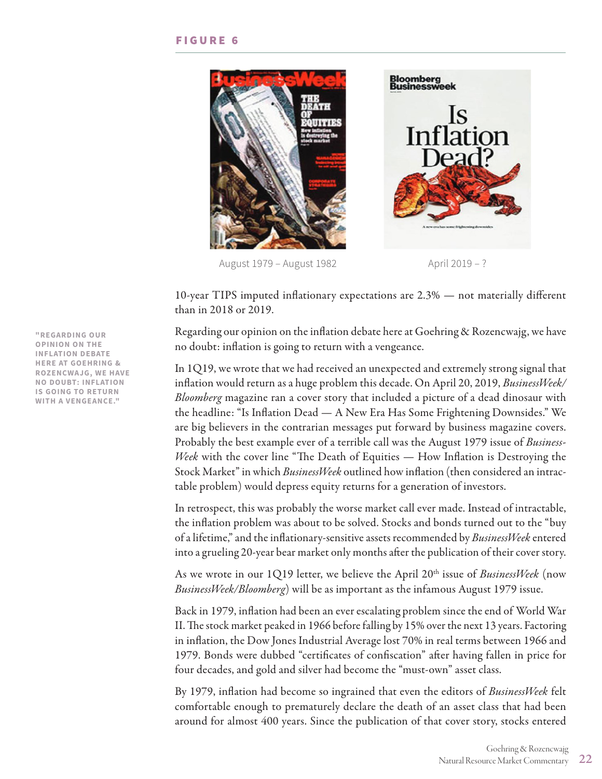

August 1979 – August 1982 **August 1982** April 2019 – ?



10-year TIPS imputed inflationary expectations are 2.3% — not materially different than in 2018 or 2019.

Regarding our opinion on the inflation debate here at Goehring & Rozencwajg, we have no doubt: inflation is going to return with a vengeance.

In 1Q19, we wrote that we had received an unexpected and extremely strong signal that inflation would return as a huge problem this decade. On April 20, 2019, *BusinessWeek/ Bloomberg* magazine ran a cover story that included a picture of a dead dinosaur with the headline: "Is Inflation Dead — A New Era Has Some Frightening Downsides." We are big believers in the contrarian messages put forward by business magazine covers. Probably the best example ever of a terrible call was the August 1979 issue of *Business-Week* with the cover line "The Death of Equities — How Inflation is Destroying the Stock Market" in which *BusinessWeek* outlined how inflation (then considered an intractable problem) would depress equity returns for a generation of investors.

In retrospect, this was probably the worse market call ever made. Instead of intractable, the inflation problem was about to be solved. Stocks and bonds turned out to the "buy of a lifetime," and the inflationary-sensitive assets recommended by *BusinessWeek* entered into a grueling 20-year bear market only months after the publication of their cover story.

As we wrote in our 1Q19 letter, we believe the April 20<sup>th</sup> issue of *BusinessWeek* (now *BusinessWeek/Bloomberg*) will be as important as the infamous August 1979 issue.

Back in 1979, inflation had been an ever escalating problem since the end of World War II. The stock market peaked in 1966 before falling by 15% over the next 13 years. Factoring in inflation, the Dow Jones Industrial Average lost 70% in real terms between 1966 and 1979. Bonds were dubbed "certificates of confiscation" after having fallen in price for four decades, and gold and silver had become the "must-own" asset class.

By 1979, inflation had become so ingrained that even the editors of *BusinessWeek* felt comfortable enough to prematurely declare the death of an asset class that had been around for almost 400 years. Since the publication of that cover story, stocks entered

**"REGARDING OUR OPINION ON THE INFLATION DEBATE HERE AT GOEHRING & ROZENCWAJG, WE HAVE NO DOUBT: INFLATION IS GOING TO RETURN WITH A VENGEANCE."**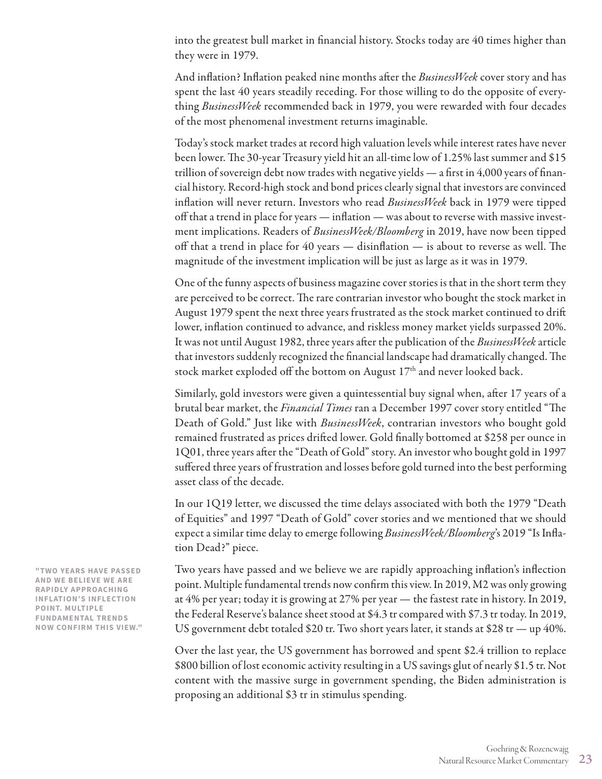into the greatest bull market in financial history. Stocks today are 40 times higher than they were in 1979.

And inflation? Inflation peaked nine months after the *BusinessWeek* cover story and has spent the last 40 years steadily receding. For those willing to do the opposite of everything *BusinessWeek* recommended back in 1979, you were rewarded with four decades of the most phenomenal investment returns imaginable.

Today's stock market trades at record high valuation levels while interest rates have never been lower. The 30-year Treasury yield hit an all-time low of 1.25% last summer and \$15 trillion of sovereign debt now trades with negative yields — a first in 4,000 years of financial history. Record-high stock and bond prices clearly signal that investors are convinced inflation will never return. Investors who read *BusinessWeek* back in 1979 were tipped off that a trend in place for years — inflation — was about to reverse with massive investment implications. Readers of *BusinessWeek/Bloomberg* in 2019, have now been tipped off that a trend in place for 40 years — disinflation — is about to reverse as well. The magnitude of the investment implication will be just as large as it was in 1979.

One of the funny aspects of business magazine cover stories is that in the short term they are perceived to be correct. The rare contrarian investor who bought the stock market in August 1979 spent the next three years frustrated as the stock market continued to drift lower, inflation continued to advance, and riskless money market yields surpassed 20%. It was not until August 1982, three years after the publication of the *BusinessWeek* article that investors suddenly recognized the financial landscape had dramatically changed. The stock market exploded off the bottom on August 17<sup>th</sup> and never looked back.

Similarly, gold investors were given a quintessential buy signal when, after 17 years of a brutal bear market, the *Financial Times* ran a December 1997 cover story entitled "The Death of Gold." Just like with *BusinessWeek*, contrarian investors who bought gold remained frustrated as prices drifted lower. Gold finally bottomed at \$258 per ounce in 1Q01, three years after the "Death of Gold" story. An investor who bought gold in 1997 suffered three years of frustration and losses before gold turned into the best performing asset class of the decade.

In our 1Q19 letter, we discussed the time delays associated with both the 1979 "Death of Equities" and 1997 "Death of Gold" cover stories and we mentioned that we should expect a similar time delay to emerge following *BusinessWeek/Bloomberg*'s 2019 "Is Inflation Dead?" piece.

Two years have passed and we believe we are rapidly approaching inflation's inflection point. Multiple fundamental trends now confirm this view. In 2019, M2 was only growing at 4% per year; today it is growing at 27% per year — the fastest rate in history. In 2019, the Federal Reserve's balance sheet stood at \$4.3 tr compared with \$7.3 tr today. In 2019, US government debt totaled \$20 tr. Two short years later, it stands at \$28 tr — up 40%.

Over the last year, the US government has borrowed and spent \$2.4 trillion to replace \$800 billion of lost economic activity resulting in a US savings glut of nearly \$1.5 tr. Not content with the massive surge in government spending, the Biden administration is proposing an additional \$3 tr in stimulus spending.

**"TWO YEARS HAVE PASSED AND WE BELIEVE WE ARE RAPIDLY APPROACHING INFLATION'S INFLECTION POINT. MULTIPLE FUNDAMENTAL TRENDS NOW CONFIRM THIS VIEW."**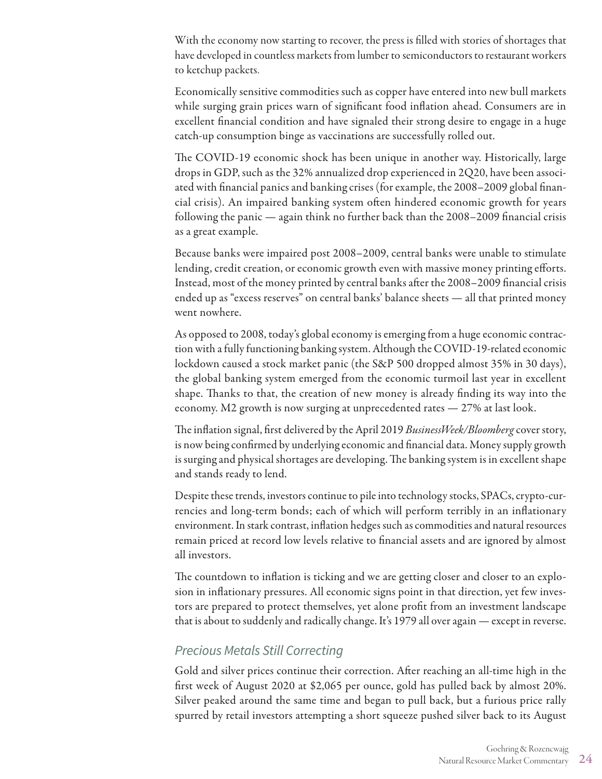With the economy now starting to recover, the press is filled with stories of shortages that have developed in countless markets from lumber to semiconductors to restaurant workers to ketchup packets.

Economically sensitive commodities such as copper have entered into new bull markets while surging grain prices warn of significant food inflation ahead. Consumers are in excellent financial condition and have signaled their strong desire to engage in a huge catch-up consumption binge as vaccinations are successfully rolled out.

The COVID-19 economic shock has been unique in another way. Historically, large drops in GDP, such as the 32% annualized drop experienced in 2Q20, have been associated with financial panics and banking crises (for example, the 2008–2009 global financial crisis). An impaired banking system often hindered economic growth for years following the panic — again think no further back than the 2008–2009 financial crisis as a great example.

Because banks were impaired post 2008–2009, central banks were unable to stimulate lending, credit creation, or economic growth even with massive money printing efforts. Instead, most of the money printed by central banks after the 2008–2009 financial crisis ended up as "excess reserves" on central banks' balance sheets — all that printed money went nowhere.

As opposed to 2008, today's global economy is emerging from a huge economic contraction with a fully functioning banking system. Although the COVID-19-related economic lockdown caused a stock market panic (the S&P 500 dropped almost 35% in 30 days), the global banking system emerged from the economic turmoil last year in excellent shape. Thanks to that, the creation of new money is already finding its way into the economy. M2 growth is now surging at unprecedented rates — 27% at last look.

The inflation signal, first delivered by the April 2019 *BusinessWeek/Bloomberg* cover story, is now being confirmed by underlying economic and financial data. Money supply growth is surging and physical shortages are developing. The banking system is in excellent shape and stands ready to lend.

Despite these trends, investors continue to pile into technology stocks, SPACs, crypto-currencies and long-term bonds; each of which will perform terribly in an inflationary environment. In stark contrast, inflation hedges such as commodities and natural resources remain priced at record low levels relative to financial assets and are ignored by almost all investors.

The countdown to inflation is ticking and we are getting closer and closer to an explosion in inflationary pressures. All economic signs point in that direction, yet few investors are prepared to protect themselves, yet alone profit from an investment landscape that is about to suddenly and radically change. It's 1979 all over again — except in reverse.

### *Precious Metals Still Correcting*

Gold and silver prices continue their correction. After reaching an all-time high in the first week of August 2020 at \$2,065 per ounce, gold has pulled back by almost 20%. Silver peaked around the same time and began to pull back, but a furious price rally spurred by retail investors attempting a short squeeze pushed silver back to its August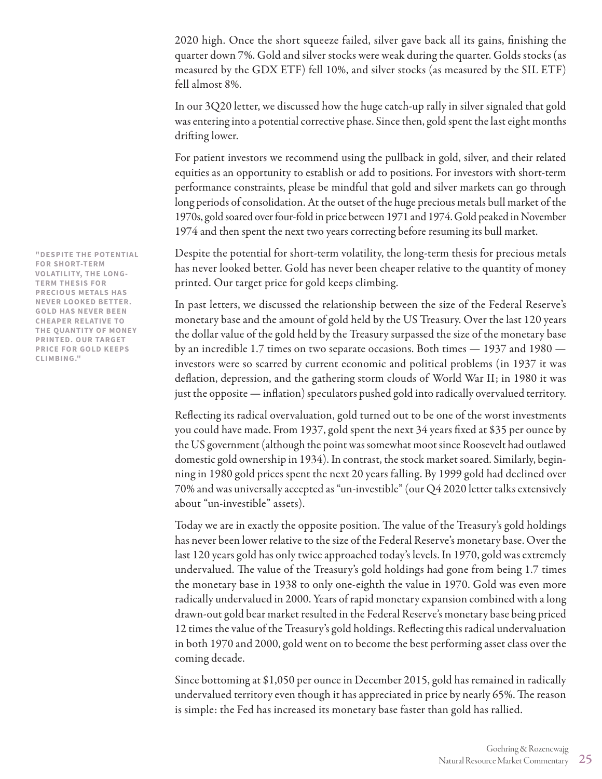2020 high. Once the short squeeze failed, silver gave back all its gains, finishing the quarter down 7%. Gold and silver stocks were weak during the quarter. Golds stocks (as measured by the GDX ETF) fell 10%, and silver stocks (as measured by the SIL ETF) fell almost 8%.

In our 3Q20 letter, we discussed how the huge catch-up rally in silver signaled that gold was entering into a potential corrective phase. Since then, gold spent the last eight months drifting lower.

For patient investors we recommend using the pullback in gold, silver, and their related equities as an opportunity to establish or add to positions. For investors with short-term performance constraints, please be mindful that gold and silver markets can go through long periods of consolidation. At the outset of the huge precious metals bull market of the 1970s, gold soared over four-fold in price between 1971 and 1974. Gold peaked in November 1974 and then spent the next two years correcting before resuming its bull market.

Despite the potential for short-term volatility, the long-term thesis for precious metals has never looked better. Gold has never been cheaper relative to the quantity of money printed. Our target price for gold keeps climbing.

In past letters, we discussed the relationship between the size of the Federal Reserve's monetary base and the amount of gold held by the US Treasury. Over the last 120 years the dollar value of the gold held by the Treasury surpassed the size of the monetary base by an incredible 1.7 times on two separate occasions. Both times — 1937 and 1980 investors were so scarred by current economic and political problems (in 1937 it was deflation, depression, and the gathering storm clouds of World War II; in 1980 it was just the opposite — inflation) speculators pushed gold into radically overvalued territory.

Reflecting its radical overvaluation, gold turned out to be one of the worst investments you could have made. From 1937, gold spent the next 34 years fixed at \$35 per ounce by the US government (although the point was somewhat moot since Roosevelt had outlawed domestic gold ownership in 1934). In contrast, the stock market soared. Similarly, beginning in 1980 gold prices spent the next 20 years falling. By 1999 gold had declined over 70% and was universally accepted as "un-investible" (our Q4 2020 letter talks extensively about "un-investible" assets).

Today we are in exactly the opposite position. The value of the Treasury's gold holdings has never been lower relative to the size of the Federal Reserve's monetary base. Over the last 120 years gold has only twice approached today's levels. In 1970, gold was extremely undervalued. The value of the Treasury's gold holdings had gone from being 1.7 times the monetary base in 1938 to only one-eighth the value in 1970. Gold was even more radically undervalued in 2000. Years of rapid monetary expansion combined with a long drawn-out gold bear market resulted in the Federal Reserve's monetary base being priced 12 times the value of the Treasury's gold holdings. Reflecting this radical undervaluation in both 1970 and 2000, gold went on to become the best performing asset class over the coming decade.

Since bottoming at \$1,050 per ounce in December 2015, gold has remained in radically undervalued territory even though it has appreciated in price by nearly 65%. The reason is simple: the Fed has increased its monetary base faster than gold has rallied.

**"DESPITE THE POTENTIAL FOR SHORT-TERM VOLATILITY, THE LONG-TERM THESIS FOR PRECIOUS METALS HAS NEVER LOOKED BETTER. GOLD HAS NEVER BEEN CHEAPER RELATIVE TO THE QUANTITY OF MONEY PRINTED. OUR TARGET PRICE FOR GOLD KEEPS CLIMBING."**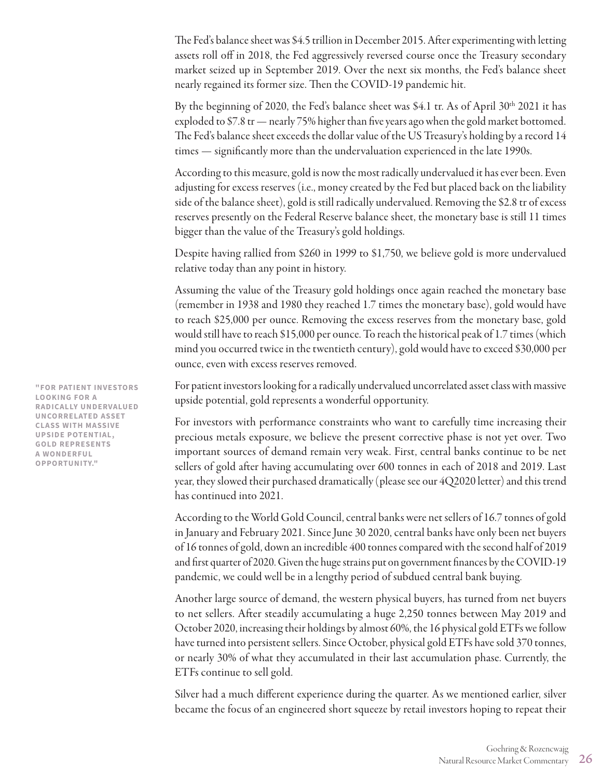The Fed's balance sheet was \$4.5 trillion in December 2015. After experimenting with letting assets roll off in 2018, the Fed aggressively reversed course once the Treasury secondary market seized up in September 2019. Over the next six months, the Fed's balance sheet nearly regained its former size. Then the COVID-19 pandemic hit.

By the beginning of 2020, the Fed's balance sheet was \$4.1 tr. As of April  $30<sup>th</sup>$  2021 it has exploded to \$7.8 tr — nearly 75% higher than five years ago when the gold market bottomed. The Fed's balance sheet exceeds the dollar value of the US Treasury's holding by a record 14 times — significantly more than the undervaluation experienced in the late 1990s.

According to this measure, gold is now the most radically undervalued it has ever been. Even adjusting for excess reserves (i.e., money created by the Fed but placed back on the liability side of the balance sheet), gold is still radically undervalued. Removing the \$2.8 tr of excess reserves presently on the Federal Reserve balance sheet, the monetary base is still 11 times bigger than the value of the Treasury's gold holdings.

Despite having rallied from \$260 in 1999 to \$1,750, we believe gold is more undervalued relative today than any point in history.

Assuming the value of the Treasury gold holdings once again reached the monetary base (remember in 1938 and 1980 they reached 1.7 times the monetary base), gold would have to reach \$25,000 per ounce. Removing the excess reserves from the monetary base, gold would still have to reach \$15,000 per ounce. To reach the historical peak of 1.7 times (which mind you occurred twice in the twentieth century), gold would have to exceed \$30,000 per ounce, even with excess reserves removed.

For patient investors looking for a radically undervalued uncorrelated asset class with massive upside potential, gold represents a wonderful opportunity.

For investors with performance constraints who want to carefully time increasing their precious metals exposure, we believe the present corrective phase is not yet over. Two important sources of demand remain very weak. First, central banks continue to be net sellers of gold after having accumulating over 600 tonnes in each of 2018 and 2019. Last year, they slowed their purchased dramatically (please see our 4Q2020 letter) and this trend has continued into 2021.

According to the World Gold Council, central banks were net sellers of 16.7 tonnes of gold in January and February 2021. Since June 30 2020, central banks have only been net buyers of 16 tonnes of gold, down an incredible 400 tonnes compared with the second half of 2019 and first quarter of 2020. Given the huge strains put on government finances by the COVID-19 pandemic, we could well be in a lengthy period of subdued central bank buying.

Another large source of demand, the western physical buyers, has turned from net buyers to net sellers. After steadily accumulating a huge 2,250 tonnes between May 2019 and October 2020, increasing their holdings by almost 60%, the 16 physical gold ETFs we follow have turned into persistent sellers. Since October, physical gold ETFs have sold 370 tonnes, or nearly 30% of what they accumulated in their last accumulation phase. Currently, the ETFs continue to sell gold.

Silver had a much different experience during the quarter. As we mentioned earlier, silver became the focus of an engineered short squeeze by retail investors hoping to repeat their

**"FOR PATIENT INVESTORS LOOKING FOR A RADICALLY UNDERVALUED UNCORRELATED ASSET CLASS WITH MASSIVE UPSIDE POTENTIAL, GOLD REPRESENTS A WONDERFUL OPPORTUNITY."**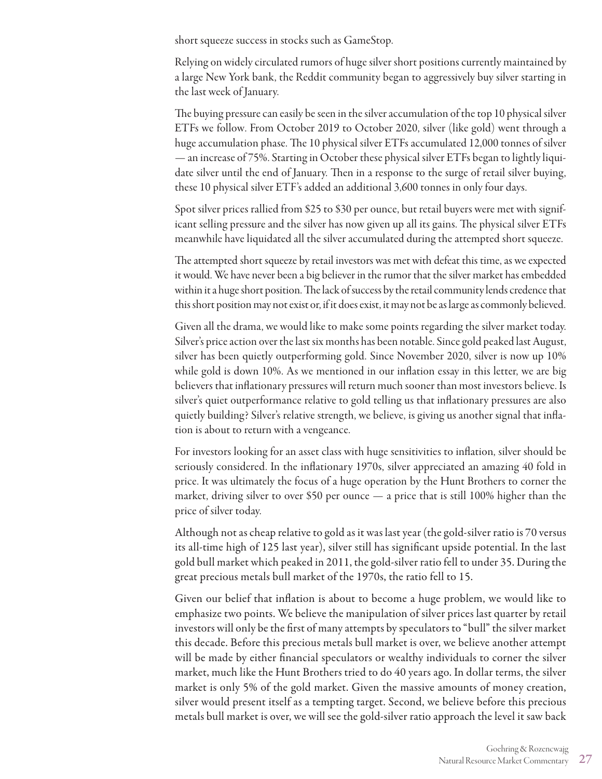short squeeze success in stocks such as GameStop.

Relying on widely circulated rumors of huge silver short positions currently maintained by a large New York bank, the Reddit community began to aggressively buy silver starting in the last week of January.

The buying pressure can easily be seen in the silver accumulation of the top 10 physical silver ETFs we follow. From October 2019 to October 2020, silver (like gold) went through a huge accumulation phase. The 10 physical silver ETFs accumulated 12,000 tonnes of silver — an increase of 75%. Starting in October these physical silver ETFs began to lightly liquidate silver until the end of January. Then in a response to the surge of retail silver buying, these 10 physical silver ETF's added an additional 3,600 tonnes in only four days.

Spot silver prices rallied from \$25 to \$30 per ounce, but retail buyers were met with significant selling pressure and the silver has now given up all its gains. The physical silver ETFs meanwhile have liquidated all the silver accumulated during the attempted short squeeze.

The attempted short squeeze by retail investors was met with defeat this time, as we expected it would. We have never been a big believer in the rumor that the silver market has embedded within it a huge short position. The lack of success by the retail community lends credence that this short position may not exist or, if it does exist, it may not be as large as commonly believed.

Given all the drama, we would like to make some points regarding the silver market today. Silver's price action over the last six months has been notable. Since gold peaked last August, silver has been quietly outperforming gold. Since November 2020, silver is now up 10% while gold is down 10%. As we mentioned in our inflation essay in this letter, we are big believers that inflationary pressures will return much sooner than most investors believe. Is silver's quiet outperformance relative to gold telling us that inflationary pressures are also quietly building? Silver's relative strength, we believe, is giving us another signal that inflation is about to return with a vengeance.

For investors looking for an asset class with huge sensitivities to inflation, silver should be seriously considered. In the inflationary 1970s, silver appreciated an amazing 40 fold in price. It was ultimately the focus of a huge operation by the Hunt Brothers to corner the market, driving silver to over \$50 per ounce — a price that is still 100% higher than the price of silver today.

Although not as cheap relative to gold as it was last year (the gold-silver ratio is 70 versus its all-time high of 125 last year), silver still has significant upside potential. In the last gold bull market which peaked in 2011, the gold-silver ratio fell to under 35. During the great precious metals bull market of the 1970s, the ratio fell to 15.

Given our belief that inflation is about to become a huge problem, we would like to emphasize two points. We believe the manipulation of silver prices last quarter by retail investors will only be the first of many attempts by speculators to "bull" the silver market this decade. Before this precious metals bull market is over, we believe another attempt will be made by either financial speculators or wealthy individuals to corner the silver market, much like the Hunt Brothers tried to do 40 years ago. In dollar terms, the silver market is only 5% of the gold market. Given the massive amounts of money creation, silver would present itself as a tempting target. Second, we believe before this precious metals bull market is over, we will see the gold-silver ratio approach the level it saw back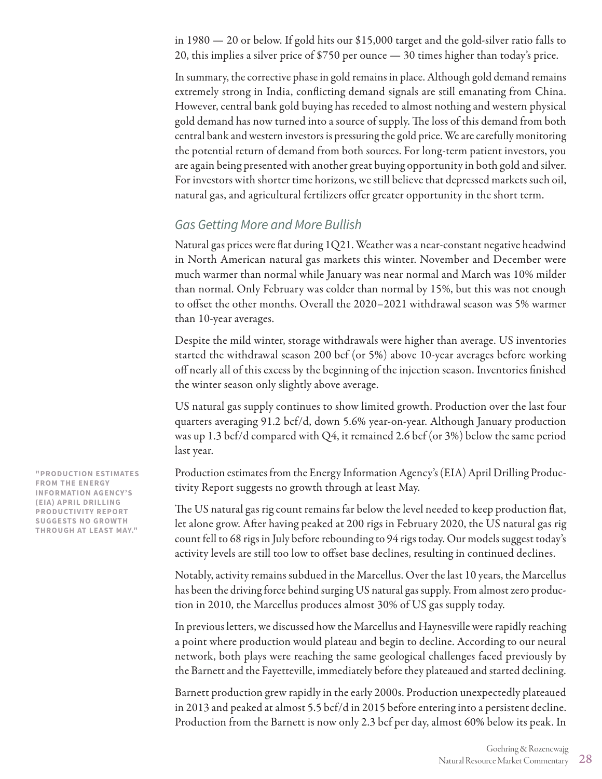in 1980 — 20 or below. If gold hits our \$15,000 target and the gold-silver ratio falls to 20, this implies a silver price of \$750 per ounce — 30 times higher than today's price.

In summary, the corrective phase in gold remains in place. Although gold demand remains extremely strong in India, conflicting demand signals are still emanating from China. However, central bank gold buying has receded to almost nothing and western physical gold demand has now turned into a source of supply. The loss of this demand from both central bank and western investors is pressuring the gold price. We are carefully monitoring the potential return of demand from both sources. For long-term patient investors, you are again being presented with another great buying opportunity in both gold and silver. For investors with shorter time horizons, we still believe that depressed markets such oil, natural gas, and agricultural fertilizers offer greater opportunity in the short term.

### *Gas Getting More and More Bullish*

Natural gas prices were flat during 1Q21. Weather was a near-constant negative headwind in North American natural gas markets this winter. November and December were much warmer than normal while January was near normal and March was 10% milder than normal. Only February was colder than normal by 15%, but this was not enough to offset the other months. Overall the 2020–2021 withdrawal season was 5% warmer than 10-year averages.

Despite the mild winter, storage withdrawals were higher than average. US inventories started the withdrawal season 200 bcf (or 5%) above 10-year averages before working off nearly all of this excess by the beginning of the injection season. Inventories finished the winter season only slightly above average.

US natural gas supply continues to show limited growth. Production over the last four quarters averaging 91.2 bcf/d, down 5.6% year-on-year. Although January production was up 1.3 bcf/d compared with Q4, it remained 2.6 bcf (or 3%) below the same period last year.

Production estimates from the Energy Information Agency's (EIA) April Drilling Productivity Report suggests no growth through at least May.

The US natural gas rig count remains far below the level needed to keep production flat, let alone grow. After having peaked at 200 rigs in February 2020, the US natural gas rig count fell to 68 rigs in July before rebounding to 94 rigs today. Our models suggest today's activity levels are still too low to offset base declines, resulting in continued declines.

Notably, activity remains subdued in the Marcellus. Over the last 10 years, the Marcellus has been the driving force behind surging US natural gas supply. From almost zero production in 2010, the Marcellus produces almost 30% of US gas supply today.

In previous letters, we discussed how the Marcellus and Haynesville were rapidly reaching a point where production would plateau and begin to decline. According to our neural network, both plays were reaching the same geological challenges faced previously by the Barnett and the Fayetteville, immediately before they plateaued and started declining.

Barnett production grew rapidly in the early 2000s. Production unexpectedly plateaued in 2013 and peaked at almost 5.5 bcf/d in 2015 before entering into a persistent decline. Production from the Barnett is now only 2.3 bcf per day, almost 60% below its peak. In

**"PRODUCTION ESTIMATES FROM THE ENERGY INFORMATION AGENCY'S (EIA) APRIL DRILLING PRODUCTIVITY REPORT SUGGESTS NO GROWTH THROUGH AT LEAST MAY."**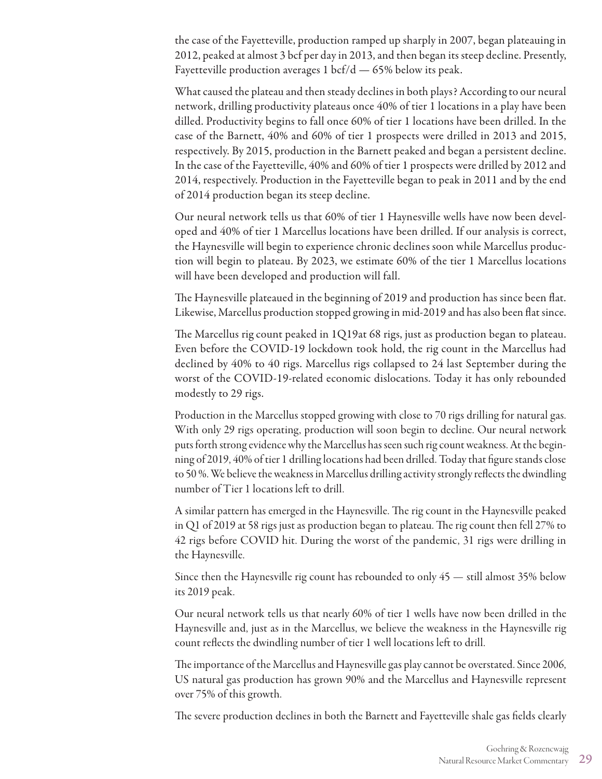the case of the Fayetteville, production ramped up sharply in 2007, began plateauing in 2012, peaked at almost 3 bcf per day in 2013, and then began its steep decline. Presently, Fayetteville production averages  $1~\text{bcf/d} - 65\%$  below its peak.

What caused the plateau and then steady declines in both plays? According to our neural network, drilling productivity plateaus once 40% of tier 1 locations in a play have been dilled. Productivity begins to fall once 60% of tier 1 locations have been drilled. In the case of the Barnett, 40% and 60% of tier 1 prospects were drilled in 2013 and 2015, respectively. By 2015, production in the Barnett peaked and began a persistent decline. In the case of the Fayetteville, 40% and 60% of tier 1 prospects were drilled by 2012 and 2014, respectively. Production in the Fayetteville began to peak in 2011 and by the end of 2014 production began its steep decline.

Our neural network tells us that 60% of tier 1 Haynesville wells have now been developed and 40% of tier 1 Marcellus locations have been drilled. If our analysis is correct, the Haynesville will begin to experience chronic declines soon while Marcellus production will begin to plateau. By 2023, we estimate 60% of the tier 1 Marcellus locations will have been developed and production will fall.

The Haynesville plateaued in the beginning of 2019 and production has since been flat. Likewise, Marcellus production stopped growing in mid-2019 and has also been flat since.

The Marcellus rig count peaked in 1Q19at 68 rigs, just as production began to plateau. Even before the COVID-19 lockdown took hold, the rig count in the Marcellus had declined by 40% to 40 rigs. Marcellus rigs collapsed to 24 last September during the worst of the COVID-19-related economic dislocations. Today it has only rebounded modestly to 29 rigs.

Production in the Marcellus stopped growing with close to 70 rigs drilling for natural gas. With only 29 rigs operating, production will soon begin to decline. Our neural network puts forth strong evidence why the Marcellus has seen such rig count weakness. At the beginning of 2019, 40% of tier 1 drilling locations had been drilled. Today that figure stands close to 50 %. We believe the weakness in Marcellus drilling activity strongly reflects the dwindling number of Tier 1 locations left to drill.

A similar pattern has emerged in the Haynesville. The rig count in the Haynesville peaked in Q1 of 2019 at 58 rigs just as production began to plateau. The rig count then fell 27% to 42 rigs before COVID hit. During the worst of the pandemic, 31 rigs were drilling in the Haynesville.

Since then the Haynesville rig count has rebounded to only 45 — still almost 35% below its 2019 peak.

Our neural network tells us that nearly 60% of tier 1 wells have now been drilled in the Haynesville and, just as in the Marcellus, we believe the weakness in the Haynesville rig count reflects the dwindling number of tier 1 well locations left to drill.

The importance of the Marcellus and Haynesville gas play cannot be overstated. Since 2006, US natural gas production has grown 90% and the Marcellus and Haynesville represent over 75% of this growth.

The severe production declines in both the Barnett and Fayetteville shale gas fields clearly